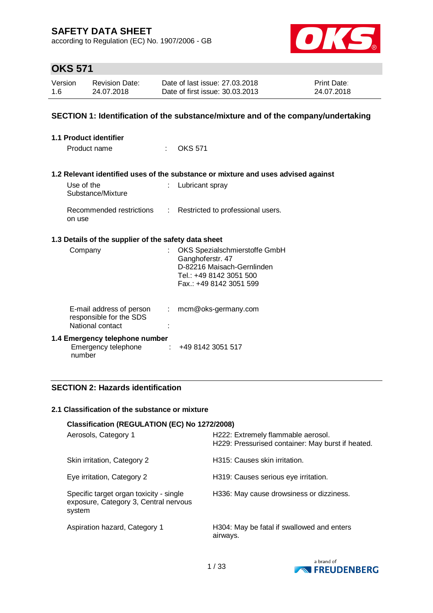according to Regulation (EC) No. 1907/2006 - GB



# **OKS 571**

| Version | <b>Revision Date:</b> | Date of last issue: 27,03,2018  | <b>Print Date:</b> |
|---------|-----------------------|---------------------------------|--------------------|
| 1.6     | 24.07.2018            | Date of first issue: 30.03.2013 | 24.07.2018         |

### **SECTION 1: Identification of the substance/mixture and of the company/undertaking**

| <b>1.1 Product identifier</b>                                           |                            |                                                                                                                                       |
|-------------------------------------------------------------------------|----------------------------|---------------------------------------------------------------------------------------------------------------------------------------|
| Product name                                                            | $\mathcal{L}^{\text{max}}$ | <b>OKS 571</b>                                                                                                                        |
|                                                                         |                            |                                                                                                                                       |
|                                                                         |                            | 1.2 Relevant identified uses of the substance or mixture and uses advised against                                                     |
| Use of the<br>Substance/Mixture                                         |                            | : Lubricant spray                                                                                                                     |
| Recommended restrictions<br>on use                                      |                            | : Restricted to professional users.                                                                                                   |
| 1.3 Details of the supplier of the safety data sheet                    |                            |                                                                                                                                       |
| Company                                                                 |                            | OKS Spezialschmierstoffe GmbH<br>Ganghoferstr. 47<br>D-82216 Maisach-Gernlinden<br>Tel.: +49 8142 3051 500<br>Fax.: +49 8142 3051 599 |
| E-mail address of person<br>responsible for the SDS<br>National contact | $\mathbb{Z}^{\mathbb{Z}}$  | mcm@oks-germany.com                                                                                                                   |
| 1.4 Emergency telephone number<br>Emergency telephone<br>number         |                            | $\div$ +49 8142 3051 517                                                                                                              |

## **SECTION 2: Hazards identification**

#### **2.1 Classification of the substance or mixture**

| Classification (REGULATION (EC) No 1272/2008)                                              |                                                                                         |  |  |  |  |
|--------------------------------------------------------------------------------------------|-----------------------------------------------------------------------------------------|--|--|--|--|
| Aerosols, Category 1                                                                       | H222: Extremely flammable aerosol.<br>H229: Pressurised container: May burst if heated. |  |  |  |  |
| Skin irritation, Category 2                                                                | H315: Causes skin irritation.                                                           |  |  |  |  |
| Eye irritation, Category 2                                                                 | H319: Causes serious eye irritation.                                                    |  |  |  |  |
| Specific target organ toxicity - single<br>exposure, Category 3, Central nervous<br>system | H336: May cause drowsiness or dizziness.                                                |  |  |  |  |
| Aspiration hazard, Category 1                                                              | H304: May be fatal if swallowed and enters<br>airways.                                  |  |  |  |  |

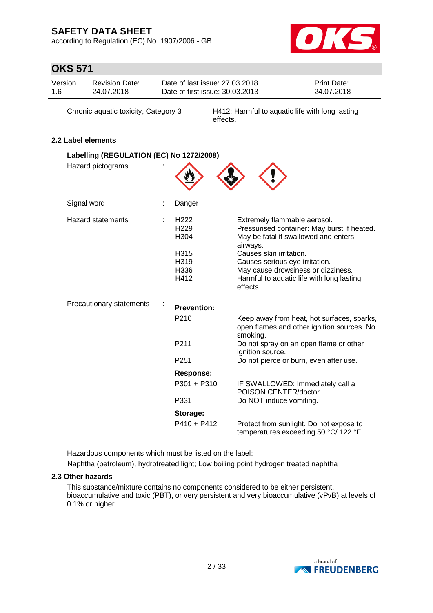according to Regulation (EC) No. 1907/2006 - GB



# **OKS 571**

| Version | <b>Revision Date:</b> | Date of last issue: 27,03,2018  | <b>Print Date:</b> |
|---------|-----------------------|---------------------------------|--------------------|
| 1.6     | 24.07.2018            | Date of first issue: 30.03.2013 | 24.07.2018         |

Chronic aquatic toxicity, Category 3 H412: Harmful to aquatic life with long lasting effects.

## **2.2 Label elements**

| Labelling (REGULATION (EC) No 1272/2008) |                                                                              |                                                                                                                                                                                                                                                                                             |
|------------------------------------------|------------------------------------------------------------------------------|---------------------------------------------------------------------------------------------------------------------------------------------------------------------------------------------------------------------------------------------------------------------------------------------|
| Hazard pictograms                        |                                                                              |                                                                                                                                                                                                                                                                                             |
| Signal word                              | Danger                                                                       |                                                                                                                                                                                                                                                                                             |
| Hazard statements                        | H <sub>222</sub><br>H <sub>229</sub><br>H304<br>H315<br>H319<br>H336<br>H412 | Extremely flammable aerosol.<br>Pressurised container: May burst if heated.<br>May be fatal if swallowed and enters<br>airways.<br>Causes skin irritation.<br>Causes serious eye irritation.<br>May cause drowsiness or dizziness.<br>Harmful to aquatic life with long lasting<br>effects. |
| Precautionary statements                 | <b>Prevention:</b>                                                           |                                                                                                                                                                                                                                                                                             |
|                                          | P210                                                                         | Keep away from heat, hot surfaces, sparks,<br>open flames and other ignition sources. No<br>smoking.                                                                                                                                                                                        |
|                                          | P211                                                                         | Do not spray on an open flame or other<br>ignition source.                                                                                                                                                                                                                                  |
|                                          | P <sub>251</sub>                                                             | Do not pierce or burn, even after use.                                                                                                                                                                                                                                                      |
|                                          | Response:                                                                    |                                                                                                                                                                                                                                                                                             |
|                                          | $P301 + P310$                                                                | IF SWALLOWED: Immediately call a<br>POISON CENTER/doctor.                                                                                                                                                                                                                                   |
|                                          | P331                                                                         | Do NOT induce vomiting.                                                                                                                                                                                                                                                                     |
|                                          | Storage:                                                                     |                                                                                                                                                                                                                                                                                             |
|                                          | $P410 + P412$                                                                | Protect from sunlight. Do not expose to<br>temperatures exceeding 50 °C/ 122 °F.                                                                                                                                                                                                            |

Hazardous components which must be listed on the label:

Naphtha (petroleum), hydrotreated light; Low boiling point hydrogen treated naphtha

### **2.3 Other hazards**

This substance/mixture contains no components considered to be either persistent, bioaccumulative and toxic (PBT), or very persistent and very bioaccumulative (vPvB) at levels of 0.1% or higher.

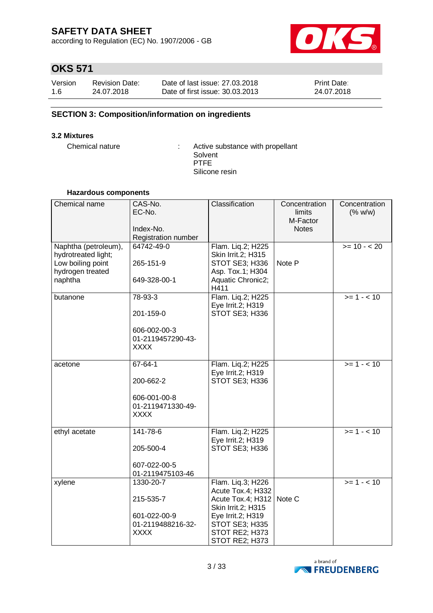according to Regulation (EC) No. 1907/2006 - GB



# **OKS 571**

| Version | <b>Revision Date:</b> | Date of last issue: 27,03,2018  | <b>Print Date:</b> |
|---------|-----------------------|---------------------------------|--------------------|
| 1.6     | 24.07.2018            | Date of first issue: 30.03.2013 | 24.07.2018         |

## **SECTION 3: Composition/information on ingredients**

#### **3.2 Mixtures**

Chemical nature : Active substance with propellant Solvent PTFE Silicone resin

#### **Hazardous components**

| Chemical name                                                                                   | CAS-No.<br>EC-No.<br>Index-No.<br>Registration number                          | Classification                                                                                                                                               | Concentration<br>limits<br>M-Factor<br><b>Notes</b> | Concentration<br>(% w/w) |
|-------------------------------------------------------------------------------------------------|--------------------------------------------------------------------------------|--------------------------------------------------------------------------------------------------------------------------------------------------------------|-----------------------------------------------------|--------------------------|
| Naphtha (petroleum),<br>hydrotreated light;<br>Low boiling point<br>hydrogen treated<br>naphtha | 64742-49-0<br>265-151-9<br>649-328-00-1                                        | Flam. Liq.2; H225<br>Skin Irrit.2; H315<br>STOT SE3; H336<br>Asp. Tox.1; H304<br>Aquatic Chronic2;<br>H411                                                   | Note P                                              | $>= 10 - 20$             |
| butanone                                                                                        | 78-93-3<br>201-159-0<br>606-002-00-3<br>01-2119457290-43-<br><b>XXXX</b>       | Flam. Liq.2; H225<br>Eye Irrit.2; H319<br>STOT SE3; H336                                                                                                     |                                                     | $>= 1 - 10$              |
| acetone                                                                                         | $67 - 64 - 1$<br>200-662-2<br>606-001-00-8<br>01-2119471330-49-<br><b>XXXX</b> | Flam. Liq.2; H225<br>Eye Irrit.2; H319<br>STOT SE3; H336                                                                                                     |                                                     | $>= 1 - 10$              |
| ethyl acetate                                                                                   | 141-78-6<br>205-500-4<br>607-022-00-5<br>01-2119475103-46                      | Flam. Liq.2; H225<br>Eye Irrit.2; H319<br>STOT SE3; H336                                                                                                     |                                                     | $>= 1 - 10$              |
| xylene                                                                                          | 1330-20-7<br>215-535-7<br>601-022-00-9<br>01-2119488216-32-<br><b>XXXX</b>     | Flam. Liq.3; H226<br>Acute Tox.4; H332<br>Acute Tox.4; H312<br>Skin Irrit.2; H315<br>Eye Irrit.2; H319<br>STOT SE3; H335<br>STOT RE2; H373<br>STOT RE2; H373 | Note C                                              | $>= 1 - 10$              |

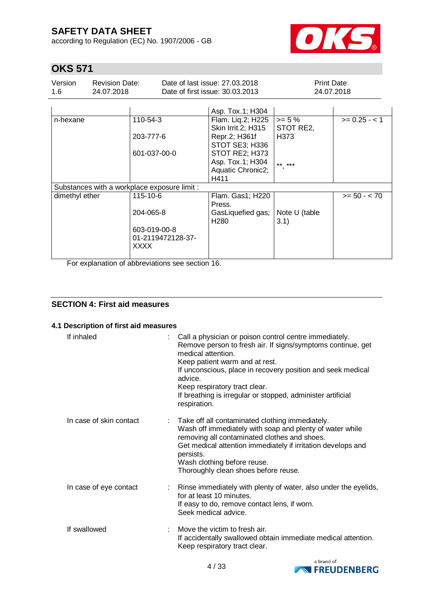according to Regulation (EC) No. 1907/2006 - GB



# **OKS 571**

| Version | <b>Revision Date:</b> | Date of last issue: 27,03,2018  | <b>Print Date:</b> |
|---------|-----------------------|---------------------------------|--------------------|
| 1.6     | 24.07.2018            | Date of first issue: 30.03.2013 | 24.07.2018         |

|                                              | Asp. Tox.1; H304                         |                                                         |                |
|----------------------------------------------|------------------------------------------|---------------------------------------------------------|----------------|
| 110-54-3                                     | Flam. Lig.2; H225<br>Skin Irrit. 2; H315 | $>= 5 \%$<br>STOT RE2,                                  | $>= 0.25 - 1$  |
| 203-777-6                                    | Repr.2; H361f                            | H373                                                    |                |
| 601-037-00-0                                 | STOT RE2; H373                           |                                                         |                |
|                                              | Asp. Tox.1; H304                         | $***$ ***                                               |                |
|                                              |                                          |                                                         |                |
|                                              | H411                                     |                                                         |                |
| Substances with a workplace exposure limit : |                                          |                                                         |                |
| 115-10-6                                     | Flam. Gas1; H220<br>Press.               |                                                         | $>= 50 - < 70$ |
| 204-065-8                                    | GasLiquefied gas;                        | Note U (table                                           |                |
| 603-019-00-8                                 |                                          |                                                         |                |
| 01-2119472128-37-<br><b>XXXX</b>             |                                          |                                                         |                |
|                                              |                                          | STOT SE3; H336<br>Aquatic Chronic2;<br>H <sub>280</sub> | 3.1)           |

For explanation of abbreviations see section 16.

## **SECTION 4: First aid measures**

### **4.1 Description of first aid measures**

| If inhaled              | Call a physician or poison control centre immediately.<br>Remove person to fresh air. If signs/symptoms continue, get<br>medical attention.<br>Keep patient warm and at rest.<br>If unconscious, place in recovery position and seek medical<br>advice.<br>Keep respiratory tract clear.<br>If breathing is irregular or stopped, administer artificial<br>respiration. |
|-------------------------|-------------------------------------------------------------------------------------------------------------------------------------------------------------------------------------------------------------------------------------------------------------------------------------------------------------------------------------------------------------------------|
| In case of skin contact | : Take off all contaminated clothing immediately.<br>Wash off immediately with soap and plenty of water while<br>removing all contaminated clothes and shoes.<br>Get medical attention immediately if irritation develops and<br>persists.<br>Wash clothing before reuse.<br>Thoroughly clean shoes before reuse.                                                       |
| In case of eye contact  | : Rinse immediately with plenty of water, also under the eyelids,<br>for at least 10 minutes.<br>If easy to do, remove contact lens, if worn.<br>Seek medical advice.                                                                                                                                                                                                   |
| If swallowed            | Move the victim to fresh air.<br>If accidentally swallowed obtain immediate medical attention.<br>Keep respiratory tract clear.                                                                                                                                                                                                                                         |

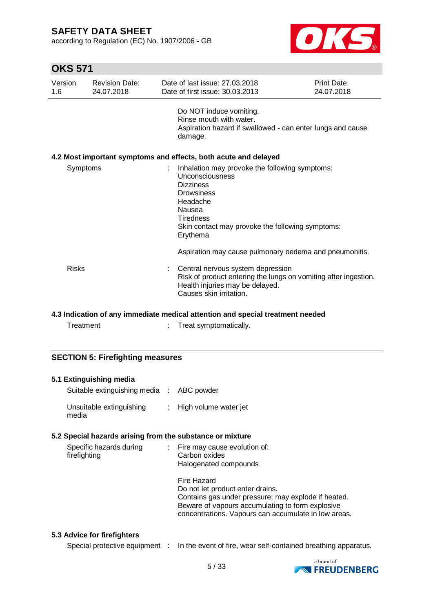according to Regulation (EC) No. 1907/2006 - GB



# **OKS 571**

| Version<br>1.6 | Revision Date:<br>24.07.2018 | Date of last issue: 27,03,2018<br>Date of first issue: 30.03.2013                                                                                                                                                    | Print Date:<br>24.07.2018 |
|----------------|------------------------------|----------------------------------------------------------------------------------------------------------------------------------------------------------------------------------------------------------------------|---------------------------|
|                |                              | Do NOT induce vomiting.<br>Rinse mouth with water.<br>Aspiration hazard if swallowed - can enter lungs and cause<br>damage.                                                                                          |                           |
|                |                              | 4.2 Most important symptoms and effects, both acute and delayed                                                                                                                                                      |                           |
| Symptoms       |                              | Inhalation may provoke the following symptoms:<br>Unconsciousness<br><b>Dizziness</b><br><b>Drowsiness</b><br>Headache<br>Nausea<br><b>Tiredness</b><br>Skin contact may provoke the following symptoms:<br>Erythema |                           |
|                |                              | Aspiration may cause pulmonary oedema and pneumonitis.                                                                                                                                                               |                           |
| <b>Risks</b>   |                              | : Central nervous system depression<br>Risk of product entering the lungs on vomiting after ingestion.<br>Health injuries may be delayed.<br>Causes skin irritation.                                                 |                           |

## **4.3 Indication of any immediate medical attention and special treatment needed**

Treatment : Treat symptomatically.

### **SECTION 5: Firefighting measures**

| 5.1 Extinguishing media<br>Suitable extinguishing media : ABC powder |                                                                                                          |
|----------------------------------------------------------------------|----------------------------------------------------------------------------------------------------------|
|                                                                      |                                                                                                          |
| Unsuitable extinguishing : High volume water jet<br>media            |                                                                                                          |
| 5.2 Special hazards arising from the substance or mixture            |                                                                                                          |
| Specific hazards during                                              | : Fire may cause evolution of:                                                                           |
| firefighting                                                         | Carbon oxides                                                                                            |
|                                                                      | Halogenated compounds                                                                                    |
|                                                                      | Fire Hazard                                                                                              |
|                                                                      | Do not let product enter drains.                                                                         |
|                                                                      | Contains gas under pressure; may explode if heated.                                                      |
|                                                                      | Beware of vapours accumulating to form explosive<br>concentrations. Vapours can accumulate in low areas. |

## **5.3 Advice for firefighters**

Special protective equipment : In the event of fire, wear self-contained breathing apparatus.

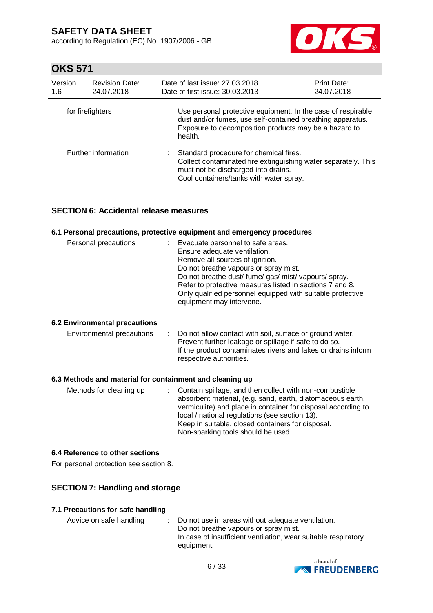according to Regulation (EC) No. 1907/2006 - GB



# **OKS 571**

| Version<br>1.6   | <b>Revision Date:</b><br>24.07.2018 | Date of last issue: 27,03,2018<br>Date of first issue: 30.03.2013                                                                                                                                | <b>Print Date:</b><br>24.07.2018 |
|------------------|-------------------------------------|--------------------------------------------------------------------------------------------------------------------------------------------------------------------------------------------------|----------------------------------|
| for firefighters |                                     | Use personal protective equipment. In the case of respirable<br>dust and/or fumes, use self-contained breathing apparatus.<br>Exposure to decomposition products may be a hazard to<br>health.   |                                  |
|                  | Further information                 | Standard procedure for chemical fires.<br>÷.<br>Collect contaminated fire extinguishing water separately. This<br>must not be discharged into drains.<br>Cool containers/tanks with water spray. |                                  |

## **SECTION 6: Accidental release measures**

#### **6.1 Personal precautions, protective equipment and emergency procedures**

| Personal precautions | Evacuate personnel to safe areas.<br>Ensure adequate ventilation.<br>Remove all sources of ignition.<br>Do not breathe vapours or spray mist.<br>Do not breathe dust/ fume/ gas/ mist/ vapours/ spray.<br>Refer to protective measures listed in sections 7 and 8. |
|----------------------|--------------------------------------------------------------------------------------------------------------------------------------------------------------------------------------------------------------------------------------------------------------------|
|                      | Only qualified personnel equipped with suitable protective<br>equipment may intervene.                                                                                                                                                                             |

### **6.2 Environmental precautions**

| Environmental precautions | : Do not allow contact with soil, surface or ground water.    |
|---------------------------|---------------------------------------------------------------|
|                           | Prevent further leakage or spillage if safe to do so.         |
|                           | If the product contaminates rivers and lakes or drains inform |
|                           | respective authorities.                                       |

### **6.3 Methods and material for containment and cleaning up**

| Methods for cleaning up | : Contain spillage, and then collect with non-combustible<br>absorbent material, (e.g. sand, earth, diatomaceous earth,<br>vermiculite) and place in container for disposal according to<br>local / national regulations (see section 13).<br>Keep in suitable, closed containers for disposal.<br>Non-sparking tools should be used. |
|-------------------------|---------------------------------------------------------------------------------------------------------------------------------------------------------------------------------------------------------------------------------------------------------------------------------------------------------------------------------------|
|-------------------------|---------------------------------------------------------------------------------------------------------------------------------------------------------------------------------------------------------------------------------------------------------------------------------------------------------------------------------------|

### **6.4 Reference to other sections**

For personal protection see section 8.

## **SECTION 7: Handling and storage**

### **7.1 Precautions for safe handling**

Advice on safe handling : Do not use in areas without adequate ventilation. Do not breathe vapours or spray mist. In case of insufficient ventilation, wear suitable respiratory equipment.

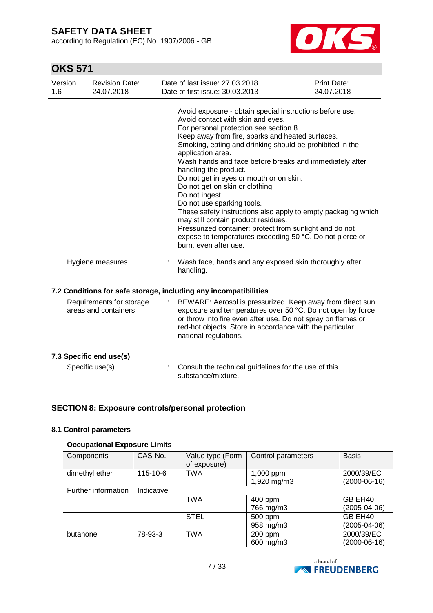according to Regulation (EC) No. 1907/2006 - GB



# **OKS 571**

| Version<br>1.6 | <b>Revision Date:</b><br>24.07.2018              | Date of last issue: 27.03.2018<br>Date of first issue: 30.03.2013                                                                                                                                                                                                                                                                                                                                                                                                                                                                                                                                                                                                                                                                                      | <b>Print Date:</b><br>24.07.2018 |
|----------------|--------------------------------------------------|--------------------------------------------------------------------------------------------------------------------------------------------------------------------------------------------------------------------------------------------------------------------------------------------------------------------------------------------------------------------------------------------------------------------------------------------------------------------------------------------------------------------------------------------------------------------------------------------------------------------------------------------------------------------------------------------------------------------------------------------------------|----------------------------------|
|                |                                                  | Avoid exposure - obtain special instructions before use.<br>Avoid contact with skin and eyes.<br>For personal protection see section 8.<br>Keep away from fire, sparks and heated surfaces.<br>Smoking, eating and drinking should be prohibited in the<br>application area.<br>Wash hands and face before breaks and immediately after<br>handling the product.<br>Do not get in eyes or mouth or on skin.<br>Do not get on skin or clothing.<br>Do not ingest.<br>Do not use sparking tools.<br>These safety instructions also apply to empty packaging which<br>may still contain product residues.<br>Pressurized container: protect from sunlight and do not<br>expose to temperatures exceeding 50 °C. Do not pierce or<br>burn, even after use. |                                  |
|                | Hygiene measures                                 | Wash face, hands and any exposed skin thoroughly after<br>handling.                                                                                                                                                                                                                                                                                                                                                                                                                                                                                                                                                                                                                                                                                    |                                  |
|                |                                                  | 7.2 Conditions for safe storage, including any incompatibilities                                                                                                                                                                                                                                                                                                                                                                                                                                                                                                                                                                                                                                                                                       |                                  |
|                | Requirements for storage<br>areas and containers | BEWARE: Aerosol is pressurized. Keep away from direct sun<br>exposure and temperatures over 50 °C. Do not open by force<br>or throw into fire even after use. Do not spray on flames or<br>red-hot objects. Store in accordance with the particular<br>national regulations.                                                                                                                                                                                                                                                                                                                                                                                                                                                                           |                                  |
|                | 7.3 Specific end use(s)                          |                                                                                                                                                                                                                                                                                                                                                                                                                                                                                                                                                                                                                                                                                                                                                        |                                  |
|                | Specific use(s)                                  | Consult the technical guidelines for the use of this<br>substance/mixture.                                                                                                                                                                                                                                                                                                                                                                                                                                                                                                                                                                                                                                                                             |                                  |

## **SECTION 8: Exposure controls/personal protection**

### **8.1 Control parameters**

## **Occupational Exposure Limits**

| Components          | CAS-No.        | Value type (Form<br>of exposure) | Control parameters | <b>Basis</b>       |
|---------------------|----------------|----------------------------------|--------------------|--------------------|
| dimethyl ether      | $115 - 10 - 6$ | <b>TWA</b>                       | 1,000 ppm          | 2000/39/EC         |
|                     |                |                                  | 1,920 mg/m3        | $(2000-06-16)$     |
| Further information | Indicative     |                                  |                    |                    |
|                     |                | <b>TWA</b>                       | 400 ppm            | GB EH40            |
|                     |                |                                  | 766 mg/m3          | $(2005 - 04 - 06)$ |
|                     |                | <b>STEL</b>                      | 500 ppm            | GB EH40            |
|                     |                |                                  | 958 mg/m3          | (2005-04-06)       |
| butanone            | 78-93-3        | <b>TWA</b>                       | 200 ppm            | 2000/39/EC         |
|                     |                |                                  | 600 mg/m3          | $(2000-06-16)$     |

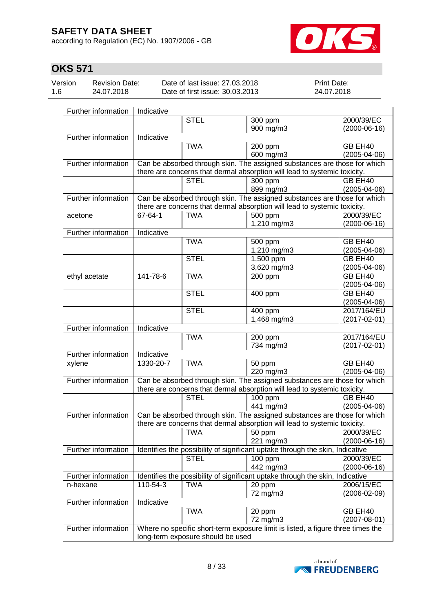according to Regulation (EC) No. 1907/2006 - GB



# **OKS 571**

| Version | <b>Revision Date:</b> | Date of last issue: 27  |
|---------|-----------------------|-------------------------|
| 1.6     | 24.07.2018            | Date of first issue: 30 |

P.03.2018  $0.03.2013$  Print Date: 24.07.2018

| Further information | Indicative                                                                                             |             |                                                                                                                                                        |                    |  |
|---------------------|--------------------------------------------------------------------------------------------------------|-------------|--------------------------------------------------------------------------------------------------------------------------------------------------------|--------------------|--|
|                     |                                                                                                        | <b>STEL</b> | 300 ppm                                                                                                                                                | 2000/39/EC         |  |
|                     |                                                                                                        |             | 900 mg/m3                                                                                                                                              | $(2000-06-16)$     |  |
| Further information | Indicative                                                                                             |             |                                                                                                                                                        |                    |  |
|                     |                                                                                                        | <b>TWA</b>  | 200 ppm                                                                                                                                                | GB EH40            |  |
|                     |                                                                                                        |             | 600 mg/m3                                                                                                                                              | $(2005 - 04 - 06)$ |  |
| Further information |                                                                                                        |             | Can be absorbed through skin. The assigned substances are those for which                                                                              |                    |  |
|                     | there are concerns that dermal absorption will lead to systemic toxicity.                              |             |                                                                                                                                                        |                    |  |
|                     |                                                                                                        | <b>STEL</b> | 300 ppm                                                                                                                                                | GB EH40            |  |
|                     |                                                                                                        |             | 899 mg/m3                                                                                                                                              | $(2005 - 04 - 06)$ |  |
| Further information |                                                                                                        |             | Can be absorbed through skin. The assigned substances are those for which<br>there are concerns that dermal absorption will lead to systemic toxicity. |                    |  |
| acetone             | 67-64-1                                                                                                | <b>TWA</b>  | 500 ppm                                                                                                                                                | 2000/39/EC         |  |
|                     |                                                                                                        |             | 1,210 mg/m3                                                                                                                                            | $(2000-06-16)$     |  |
| Further information | Indicative                                                                                             |             |                                                                                                                                                        |                    |  |
|                     |                                                                                                        | <b>TWA</b>  | 500 ppm                                                                                                                                                | GB EH40            |  |
|                     |                                                                                                        |             | 1,210 mg/m3                                                                                                                                            | $(2005 - 04 - 06)$ |  |
|                     |                                                                                                        | <b>STEL</b> | $1,500$ ppm                                                                                                                                            | GB EH40            |  |
|                     |                                                                                                        |             | 3,620 mg/m3                                                                                                                                            | $(2005 - 04 - 06)$ |  |
| ethyl acetate       | 141-78-6                                                                                               | <b>TWA</b>  | 200 ppm                                                                                                                                                | GB EH40            |  |
|                     |                                                                                                        |             |                                                                                                                                                        | $(2005 - 04 - 06)$ |  |
|                     |                                                                                                        | <b>STEL</b> | 400 ppm                                                                                                                                                | GB EH40            |  |
|                     |                                                                                                        |             |                                                                                                                                                        | $(2005 - 04 - 06)$ |  |
|                     |                                                                                                        | <b>STEL</b> | 400 ppm                                                                                                                                                | 2017/164/EU        |  |
|                     |                                                                                                        |             | 1,468 mg/m3                                                                                                                                            | $(2017 - 02 - 01)$ |  |
| Further information | Indicative                                                                                             |             |                                                                                                                                                        |                    |  |
|                     |                                                                                                        | <b>TWA</b>  | 200 ppm                                                                                                                                                | 2017/164/EU        |  |
|                     |                                                                                                        |             | 734 mg/m3                                                                                                                                              | $(2017 - 02 - 01)$ |  |
| Further information | Indicative                                                                                             |             |                                                                                                                                                        |                    |  |
| xylene              | 1330-20-7                                                                                              | <b>TWA</b>  | 50 ppm                                                                                                                                                 | GB EH40            |  |
|                     |                                                                                                        |             | 220 mg/m3                                                                                                                                              | $(2005 - 04 - 06)$ |  |
| Further information | Can be absorbed through skin. The assigned substances are those for which                              |             |                                                                                                                                                        |                    |  |
|                     |                                                                                                        |             | there are concerns that dermal absorption will lead to systemic toxicity.                                                                              |                    |  |
|                     |                                                                                                        | <b>STEL</b> | 100 ppm                                                                                                                                                | GB EH40            |  |
|                     |                                                                                                        |             | 441 mg/m3                                                                                                                                              | $(2005 - 04 - 06)$ |  |
| Further information |                                                                                                        |             | Can be absorbed through skin. The assigned substances are those for which                                                                              |                    |  |
|                     |                                                                                                        |             | there are concerns that dermal absorption will lead to systemic toxicity.                                                                              |                    |  |
|                     |                                                                                                        | TWA         | 50 ppm                                                                                                                                                 | 2000/39/EC         |  |
|                     |                                                                                                        |             | 221 mg/m3                                                                                                                                              | $(2000-06-16)$     |  |
| Further information |                                                                                                        |             | Identifies the possibility of significant uptake through the skin, Indicative                                                                          |                    |  |
|                     |                                                                                                        | <b>STEL</b> | $100$ ppm                                                                                                                                              | 2000/39/EC         |  |
|                     |                                                                                                        |             | 442 mg/m3                                                                                                                                              | $(2000-06-16)$     |  |
| Further information |                                                                                                        |             | Identifies the possibility of significant uptake through the skin, Indicative                                                                          |                    |  |
| n-hexane            | 110-54-3                                                                                               | <b>TWA</b>  | 20 ppm                                                                                                                                                 | 2006/15/EC         |  |
|                     |                                                                                                        |             | 72 mg/m3                                                                                                                                               | $(2006 - 02 - 09)$ |  |
| Further information | Indicative                                                                                             |             |                                                                                                                                                        |                    |  |
|                     |                                                                                                        | <b>TWA</b>  | 20 ppm                                                                                                                                                 | GB EH40            |  |
|                     |                                                                                                        |             | 72 mg/m3                                                                                                                                               | $(2007 - 08 - 01)$ |  |
|                     | Further information<br>Where no specific short-term exposure limit is listed, a figure three times the |             |                                                                                                                                                        |                    |  |
|                     | long-term exposure should be used                                                                      |             |                                                                                                                                                        |                    |  |

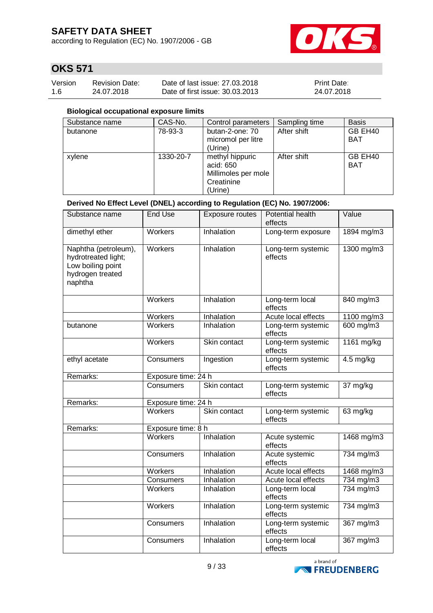according to Regulation (EC) No. 1907/2006 - GB



## **OKS 571**

| Version | <b>Revision Date:</b> | Date of last issue: 27.03.2018  | Print Date: |
|---------|-----------------------|---------------------------------|-------------|
| 1.6     | 24.07.2018            | Date of first issue: 30.03.2013 | 24.07.2018  |

### **Biological occupational exposure limits**

| Substance name | CAS-No.   | Control parameters                                                           | Sampling time | <b>Basis</b>          |
|----------------|-----------|------------------------------------------------------------------------------|---------------|-----------------------|
| butanone       | 78-93-3   | butan-2-one: 70<br>micromol per litre<br>(Urine)                             | After shift   | GB EH40<br><b>BAT</b> |
| xylene         | 1330-20-7 | methyl hippuric<br>acid: 650<br>Millimoles per mole<br>Creatinine<br>(Urine) | After shift   | GB EH40<br><b>BAT</b> |

## **Derived No Effect Level (DNEL) according to Regulation (EC) No. 1907/2006:**

| Substance name                                                                                  | <b>End Use</b>      | <b>Exposure routes</b> | Potential health<br>effects   | Value                          |
|-------------------------------------------------------------------------------------------------|---------------------|------------------------|-------------------------------|--------------------------------|
| dimethyl ether                                                                                  | Workers             | Inhalation             | Long-term exposure            | 1894 mg/m3                     |
| Naphtha (petroleum),<br>hydrotreated light;<br>Low boiling point<br>hydrogen treated<br>naphtha | <b>Workers</b>      | Inhalation             | Long-term systemic<br>effects | $1300$ mg/m3                   |
|                                                                                                 | Workers             | Inhalation             | Long-term local<br>effects    | 840 mg/m3                      |
|                                                                                                 | <b>Workers</b>      | Inhalation             | Acute local effects           | 1100 mg/m3                     |
| butanone                                                                                        | <b>Workers</b>      | Inhalation             | Long-term systemic<br>effects | 600 mg/m3                      |
|                                                                                                 | <b>Workers</b>      | Skin contact           | Long-term systemic<br>effects | 1161 mg/kg                     |
| ethyl acetate                                                                                   | Consumers           | Ingestion              | Long-term systemic<br>effects | $4.5$ mg/kg                    |
| Remarks:                                                                                        | Exposure time: 24 h |                        |                               |                                |
|                                                                                                 | Consumers           | Skin contact           | Long-term systemic<br>effects | 37 mg/kg                       |
| Remarks:                                                                                        | Exposure time: 24 h |                        |                               |                                |
|                                                                                                 | <b>Workers</b>      | Skin contact           | Long-term systemic<br>effects | 63 mg/kg                       |
| Remarks:                                                                                        | Exposure time: 8 h  |                        |                               |                                |
|                                                                                                 | <b>Workers</b>      | Inhalation             | Acute systemic<br>effects     | 1468 mg/m3                     |
|                                                                                                 | Consumers           | Inhalation             | Acute systemic<br>effects     | 734 mg/m3                      |
|                                                                                                 | Workers             | Inhalation             | Acute local effects           | 1468 mg/m3                     |
|                                                                                                 | Consumers           | Inhalation             | Acute local effects           | 734 mg/m3                      |
|                                                                                                 | <b>Workers</b>      | Inhalation             | Long-term local<br>effects    | 734 mg/m3                      |
|                                                                                                 | Workers             | Inhalation             | Long-term systemic<br>effects | 734 mg/m3                      |
|                                                                                                 | Consumers           | Inhalation             | Long-term systemic<br>effects | $\frac{367 \text{ mg}}{m}$ 367 |
|                                                                                                 | Consumers           | Inhalation             | Long-term local<br>effects    | 367 mg/m3                      |

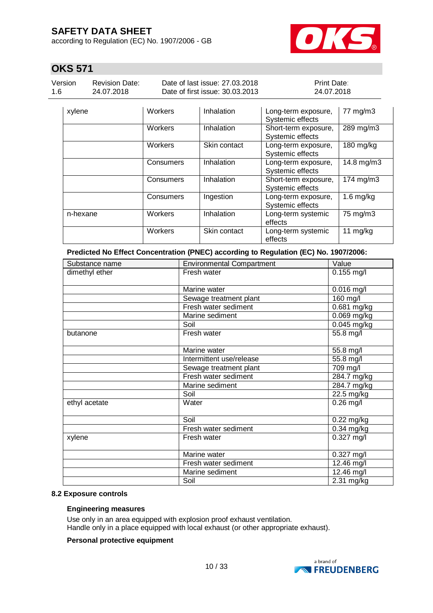according to Regulation (EC) No. 1907/2006 - GB



## **OKS 571**

| Version | <b>Revision Date:</b> | Date of last issue: 27,03,2018  | <b>Print Date:</b> |
|---------|-----------------------|---------------------------------|--------------------|
| 1.6     | 24.07.2018            | Date of first issue: 30.03.2013 | 24.07.2018         |

| xylene   | Workers   | Inhalation   | Long-term exposure,<br>Systemic effects  | 77 mg/m3       |
|----------|-----------|--------------|------------------------------------------|----------------|
|          | Workers   | Inhalation   | Short-term exposure,<br>Systemic effects | 289 mg/m3      |
|          | Workers   | Skin contact | Long-term exposure,<br>Systemic effects  | 180 mg/kg      |
|          | Consumers | Inhalation   | Long-term exposure,<br>Systemic effects  | 14.8 mg/m3     |
|          | Consumers | Inhalation   | Short-term exposure,<br>Systemic effects | $174$ mg/m $3$ |
|          | Consumers | Ingestion    | Long-term exposure,<br>Systemic effects  | $1.6$ mg/kg    |
| n-hexane | Workers   | Inhalation   | Long-term systemic<br>effects            | 75 mg/m3       |
|          | Workers   | Skin contact | Long-term systemic<br>effects            | 11 $mg/kg$     |

**Predicted No Effect Concentration (PNEC) according to Regulation (EC) No. 1907/2006:**

| Substance name | <b>Environmental Compartment</b> | Value        |
|----------------|----------------------------------|--------------|
| dimethyl ether | Fresh water                      | $0.155$ mg/l |
|                | Marine water                     | $0.016$ mg/l |
|                | Sewage treatment plant           | 160 mg/l     |
|                | Fresh water sediment             | 0.681 mg/kg  |
|                | Marine sediment                  | 0.069 mg/kg  |
|                | Soil                             | 0.045 mg/kg  |
| butanone       | Fresh water                      | 55.8 mg/l    |
|                | Marine water                     | 55.8 mg/l    |
|                | Intermittent use/release         | 55.8 mg/l    |
|                | Sewage treatment plant           | 709 mg/l     |
|                | Fresh water sediment             | 284.7 mg/kg  |
|                | Marine sediment                  | 284.7 mg/kg  |
|                | Soil                             | 22.5 mg/kg   |
| ethyl acetate  | Water                            | $0.26$ mg/l  |
|                | Soil                             | $0.22$ mg/kg |
|                | Fresh water sediment             | 0.34 mg/kg   |
| xylene         | Fresh water                      | $0.327$ mg/l |
|                | Marine water                     | $0.327$ mg/l |
|                | Fresh water sediment             | 12.46 mg/l   |
|                | Marine sediment                  | 12.46 mg/l   |
|                | Soil                             | $2.31$ mg/kg |

### **8.2 Exposure controls**

#### **Engineering measures**

Use only in an area equipped with explosion proof exhaust ventilation. Handle only in a place equipped with local exhaust (or other appropriate exhaust).

### **Personal protective equipment**

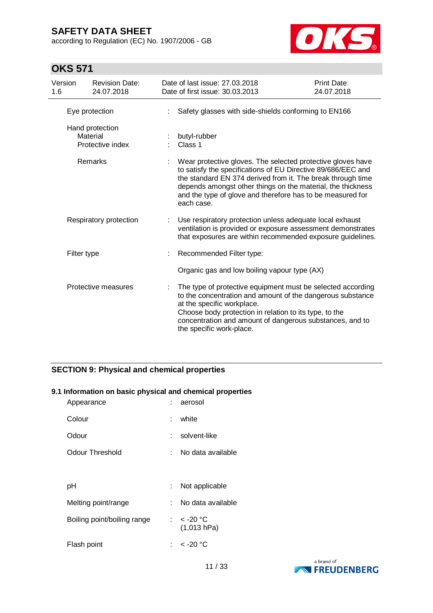according to Regulation (EC) No. 1907/2006 - GB



## **OKS 571**

| Version<br>1.6 | <b>Revision Date:</b><br>24.07.2018             | Date of last issue: 27.03.2018<br>Date of first issue: 30.03.2013                                                                                                                                                                                                                                                                     | Print Date:<br>24.07.2018 |
|----------------|-------------------------------------------------|---------------------------------------------------------------------------------------------------------------------------------------------------------------------------------------------------------------------------------------------------------------------------------------------------------------------------------------|---------------------------|
|                | Eye protection                                  | Safety glasses with side-shields conforming to EN166                                                                                                                                                                                                                                                                                  |                           |
|                | Hand protection<br>Material<br>Protective index | butyl-rubber<br>Class 1                                                                                                                                                                                                                                                                                                               |                           |
|                | <b>Remarks</b>                                  | Wear protective gloves. The selected protective gloves have<br>to satisfy the specifications of EU Directive 89/686/EEC and<br>the standard EN 374 derived from it. The break through time<br>depends amongst other things on the material, the thickness<br>and the type of glove and therefore has to be measured for<br>each case. |                           |
|                | Respiratory protection                          | Use respiratory protection unless adequate local exhaust<br>ventilation is provided or exposure assessment demonstrates<br>that exposures are within recommended exposure guidelines.                                                                                                                                                 |                           |
|                | Filter type                                     | Recommended Filter type:                                                                                                                                                                                                                                                                                                              |                           |
|                |                                                 | Organic gas and low boiling vapour type (AX)                                                                                                                                                                                                                                                                                          |                           |
|                | Protective measures                             | The type of protective equipment must be selected according<br>to the concentration and amount of the dangerous substance<br>at the specific workplace.<br>Choose body protection in relation to its type, to the<br>concentration and amount of dangerous substances, and to<br>the specific work-place.                             |                           |

## **SECTION 9: Physical and chemical properties**

## **9.1 Information on basic physical and chemical properties**

| Appearance                  | t.  | aerosol                     |
|-----------------------------|-----|-----------------------------|
| Colour                      | t.  | white                       |
| Odour                       | t.  | solvent-like                |
| Odour Threshold             | t.  | No data available           |
|                             |     |                             |
| рH                          | t.  | Not applicable              |
| Melting point/range         | × 1 | No data available           |
| Boiling point/boiling range |     | : $<$ -20 °C<br>(1,013 hPa) |
| Flash point                 |     | : < -20 °C                  |

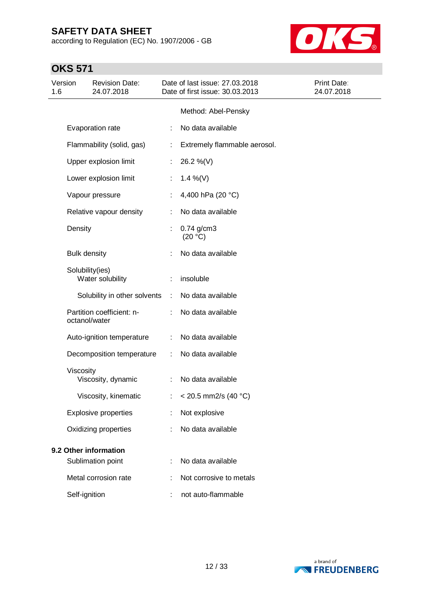according to Regulation (EC) No. 1907/2006 - GB



| Version<br>1.6 |                     | <b>Revision Date:</b><br>24.07.2018        |                | Date of last issue: 27.03.2018<br>Date of first issue: 30.03.2013 | Print Date:<br>24.07.2018 |
|----------------|---------------------|--------------------------------------------|----------------|-------------------------------------------------------------------|---------------------------|
|                |                     |                                            |                | Method: Abel-Pensky                                               |                           |
|                |                     | Evaporation rate                           |                | No data available                                                 |                           |
|                |                     | Flammability (solid, gas)                  | ÷              | Extremely flammable aerosol.                                      |                           |
|                |                     | Upper explosion limit                      | ÷              | 26.2 %(V)                                                         |                           |
|                |                     | Lower explosion limit                      | ÷.             | 1.4 %(V)                                                          |                           |
|                |                     | Vapour pressure                            | ÷              | 4,400 hPa (20 °C)                                                 |                           |
|                |                     | Relative vapour density                    |                | No data available                                                 |                           |
|                | Density             |                                            |                | $0.74$ g/cm3<br>(20 °C)                                           |                           |
|                | <b>Bulk density</b> |                                            | ÷              | No data available                                                 |                           |
|                |                     | Solubility(ies)<br>Water solubility        | ÷              | insoluble                                                         |                           |
|                |                     | Solubility in other solvents               | $\mathbb{R}^n$ | No data available                                                 |                           |
|                |                     | Partition coefficient: n-<br>octanol/water |                | No data available                                                 |                           |
|                |                     | Auto-ignition temperature                  |                | No data available                                                 |                           |
|                |                     | Decomposition temperature                  | ÷              | No data available                                                 |                           |
|                | Viscosity           | Viscosity, dynamic                         | ÷              | No data available                                                 |                           |
|                |                     | Viscosity, kinematic                       | t.             | < 20.5 mm2/s (40 $^{\circ}$ C)                                    |                           |
|                |                     | <b>Explosive properties</b>                |                | Not explosive                                                     |                           |
|                |                     | Oxidizing properties                       |                | No data available                                                 |                           |
|                |                     | 9.2 Other information                      |                |                                                                   |                           |
|                |                     | Sublimation point                          |                | No data available                                                 |                           |
|                |                     | Metal corrosion rate                       |                | Not corrosive to metals                                           |                           |
|                | Self-ignition       |                                            |                | not auto-flammable                                                |                           |

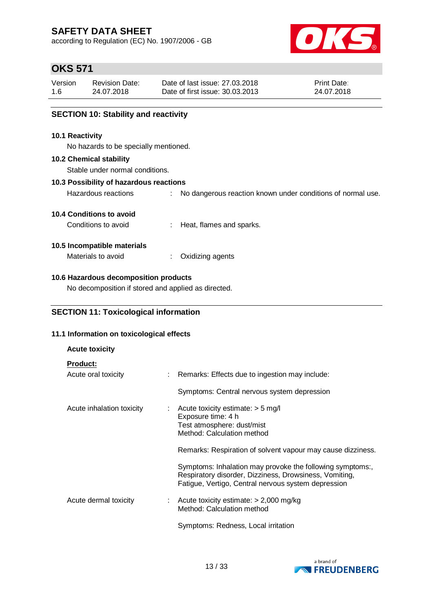according to Regulation (EC) No. 1907/2006 - GB



## **OKS 571**

| Version | <b>Revision Date:</b> | Date of last issue: 27,03,2018  | <b>Print Date:</b> |
|---------|-----------------------|---------------------------------|--------------------|
| 1.6     | 24.07.2018            | Date of first issue: 30.03.2013 | 24.07.2018         |

## **SECTION 10: Stability and reactivity**

#### **10.1 Reactivity**

No hazards to be specially mentioned.

#### **10.2 Chemical stability**

Stable under normal conditions.

### **10.3 Possibility of hazardous reactions**

Hazardous reactions : No dangerous reaction known under conditions of normal use.

### **10.4 Conditions to avoid**

Conditions to avoid : Heat, flames and sparks.

### **10.5 Incompatible materials**

Materials to avoid : Oxidizing agents

### **10.6 Hazardous decomposition products**

No decomposition if stored and applied as directed.

## **SECTION 11: Toxicological information**

## **11.1 Information on toxicological effects**

# **Acute toxicity Product:** Acute oral toxicity : Remarks: Effects due to ingestion may include: Symptoms: Central nervous system depression Acute inhalation toxicity : Acute toxicity estimate: > 5 mg/l Exposure time: 4 h Test atmosphere: dust/mist Method: Calculation method Remarks: Respiration of solvent vapour may cause dizziness. Symptoms: Inhalation may provoke the following symptoms:, Respiratory disorder, Dizziness, Drowsiness, Vomiting, Fatigue, Vertigo, Central nervous system depression Acute dermal toxicity : Acute toxicity estimate: > 2,000 mg/kg Method: Calculation method Symptoms: Redness, Local irritation

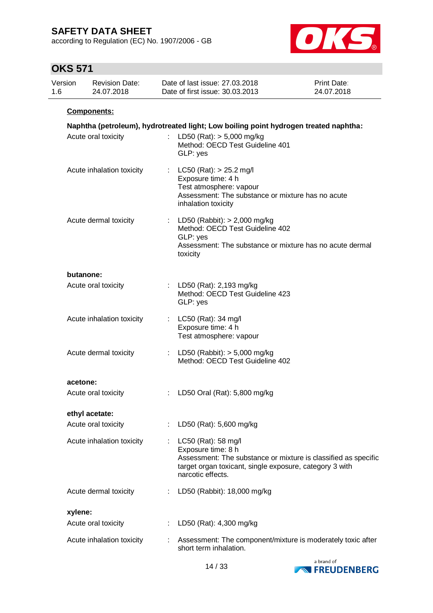according to Regulation (EC) No. 1907/2006 - GB



| Version<br>1.6 | <b>Revision Date:</b><br>24.07.2018 |    | Date of last issue: 27.03.2018<br>Date of first issue: 30.03.2013                                                                                                                           | <b>Print Date:</b><br>24.07.2018 |
|----------------|-------------------------------------|----|---------------------------------------------------------------------------------------------------------------------------------------------------------------------------------------------|----------------------------------|
|                | Components:                         |    |                                                                                                                                                                                             |                                  |
|                |                                     |    | Naphtha (petroleum), hydrotreated light; Low boiling point hydrogen treated naphtha:                                                                                                        |                                  |
|                | Acute oral toxicity                 | t. | LD50 (Rat): $> 5,000$ mg/kg<br>Method: OECD Test Guideline 401<br>GLP: yes                                                                                                                  |                                  |
|                | Acute inhalation toxicity           | t. | $LC50$ (Rat): $> 25.2$ mg/l<br>Exposure time: 4 h<br>Test atmosphere: vapour<br>Assessment: The substance or mixture has no acute<br>inhalation toxicity                                    |                                  |
|                | Acute dermal toxicity               |    | LD50 (Rabbit): $> 2,000$ mg/kg<br>Method: OECD Test Guideline 402<br>GLP: yes<br>Assessment: The substance or mixture has no acute dermal<br>toxicity                                       |                                  |
|                | butanone:                           |    |                                                                                                                                                                                             |                                  |
|                | Acute oral toxicity                 |    | : LD50 (Rat): 2,193 mg/kg<br>Method: OECD Test Guideline 423<br>GLP: yes                                                                                                                    |                                  |
|                | Acute inhalation toxicity           |    | : LC50 (Rat): 34 mg/l<br>Exposure time: 4 h<br>Test atmosphere: vapour                                                                                                                      |                                  |
|                | Acute dermal toxicity               |    | : LD50 (Rabbit): $> 5,000$ mg/kg<br>Method: OECD Test Guideline 402                                                                                                                         |                                  |
|                | acetone:                            |    |                                                                                                                                                                                             |                                  |
|                | Acute oral toxicity                 |    | : LD50 Oral (Rat): 5,800 mg/kg                                                                                                                                                              |                                  |
|                | ethyl acetate:                      |    |                                                                                                                                                                                             |                                  |
|                | Acute oral toxicity                 |    | LD50 (Rat): 5,600 mg/kg                                                                                                                                                                     |                                  |
|                | Acute inhalation toxicity           |    | LC50 (Rat): 58 mg/l<br>Exposure time: 8 h<br>Assessment: The substance or mixture is classified as specific<br>target organ toxicant, single exposure, category 3 with<br>narcotic effects. |                                  |
|                | Acute dermal toxicity               |    | LD50 (Rabbit): 18,000 mg/kg                                                                                                                                                                 |                                  |
|                | xylene:                             |    |                                                                                                                                                                                             |                                  |
|                | Acute oral toxicity                 |    | LD50 (Rat): 4,300 mg/kg                                                                                                                                                                     |                                  |
|                | Acute inhalation toxicity           |    | Assessment: The component/mixture is moderately toxic after<br>short term inhalation.                                                                                                       |                                  |

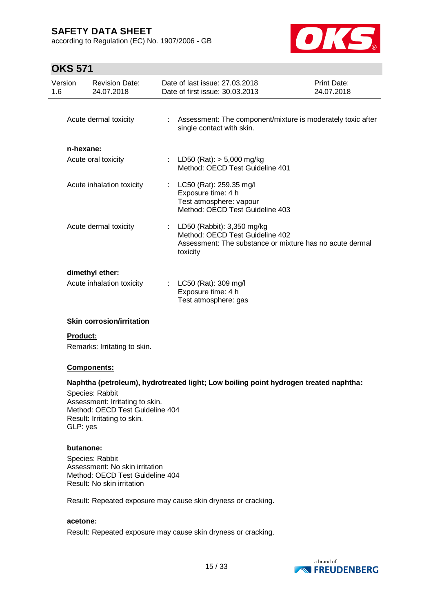according to Regulation (EC) No. 1907/2006 - GB



## **OKS 571**

| Version<br>1.6        | <b>Revision Date:</b><br>24.07.2018          | Date of last issue: 27,03,2018<br>Date of first issue: 30.03.2013                                             | Print Date:<br>24.07.2018                                   |
|-----------------------|----------------------------------------------|---------------------------------------------------------------------------------------------------------------|-------------------------------------------------------------|
| Acute dermal toxicity |                                              | single contact with skin.                                                                                     | Assessment: The component/mixture is moderately toxic after |
| n-hexane:             | Acute oral toxicity                          | : LD50 (Rat): $> 5,000$ mg/kg<br>Method: OECD Test Guideline 401                                              |                                                             |
|                       | Acute inhalation toxicity                    | : LC50 (Rat): 259.35 mg/l<br>Exposure time: 4 h<br>Test atmosphere: vapour<br>Method: OECD Test Guideline 403 |                                                             |
|                       | Acute dermal toxicity                        | : LD50 (Rabbit): $3,350$ mg/kg<br>Method: OECD Test Guideline 402<br>toxicity                                 | Assessment: The substance or mixture has no acute dermal    |
|                       | dimethyl ether:<br>Acute inhalation toxicity | : LC50 (Rat): 309 mg/l<br>Exposure time: 4 h<br>Test atmosphere: gas                                          |                                                             |

### **Skin corrosion/irritation**

#### **Product:**

Remarks: Irritating to skin.

### **Components:**

### **Naphtha (petroleum), hydrotreated light; Low boiling point hydrogen treated naphtha:**

Species: Rabbit Assessment: Irritating to skin. Method: OECD Test Guideline 404 Result: Irritating to skin. GLP: yes

#### **butanone:**

Species: Rabbit Assessment: No skin irritation Method: OECD Test Guideline 404 Result: No skin irritation

Result: Repeated exposure may cause skin dryness or cracking.

## **acetone:**

Result: Repeated exposure may cause skin dryness or cracking.

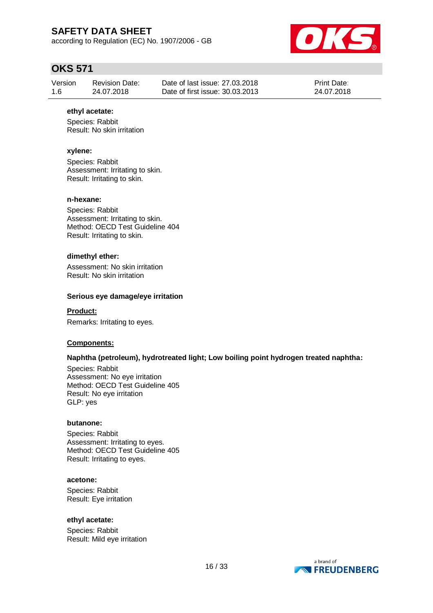according to Regulation (EC) No. 1907/2006 - GB



## **OKS 571**

| Version | <b>Revision Date:</b> | Date of last issue: 27,03,2018  | <b>Print Date:</b> |
|---------|-----------------------|---------------------------------|--------------------|
| 1.6     | 24.07.2018            | Date of first issue: 30.03.2013 | 24.07.2018         |

#### **ethyl acetate:**

Species: Rabbit Result: No skin irritation

### **xylene:**

Species: Rabbit Assessment: Irritating to skin. Result: Irritating to skin.

#### **n-hexane:**

Species: Rabbit Assessment: Irritating to skin. Method: OECD Test Guideline 404 Result: Irritating to skin.

#### **dimethyl ether:**

Assessment: No skin irritation Result: No skin irritation

#### **Serious eye damage/eye irritation**

**Product:** Remarks: Irritating to eyes.

# **Components:**

### **Naphtha (petroleum), hydrotreated light; Low boiling point hydrogen treated naphtha:**

Species: Rabbit Assessment: No eye irritation Method: OECD Test Guideline 405 Result: No eye irritation GLP: yes

#### **butanone:**

Species: Rabbit Assessment: Irritating to eyes. Method: OECD Test Guideline 405 Result: Irritating to eyes.

#### **acetone:**

Species: Rabbit Result: Eye irritation

### **ethyl acetate:**

Species: Rabbit Result: Mild eye irritation

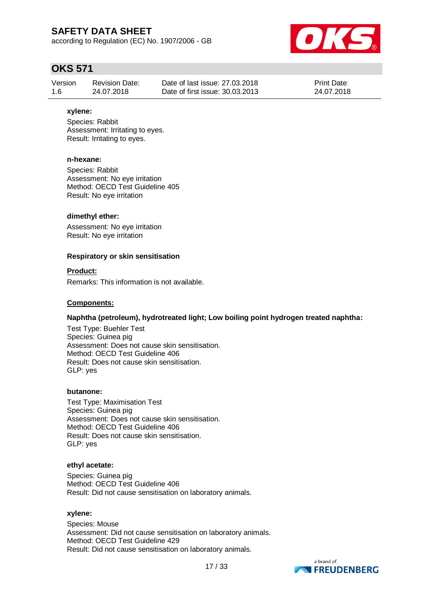according to Regulation (EC) No. 1907/2006 - GB



## **OKS 571**

| Version | Revision Date: | Date of last issue: 27,03,2018  | <b>Print Date:</b> |
|---------|----------------|---------------------------------|--------------------|
| 1.6     | 24.07.2018     | Date of first issue: 30.03.2013 | 24.07.2018         |

#### **xylene:**

Species: Rabbit Assessment: Irritating to eyes. Result: Irritating to eyes.

#### **n-hexane:**

Species: Rabbit Assessment: No eye irritation Method: OECD Test Guideline 405 Result: No eye irritation

### **dimethyl ether:**

Assessment: No eye irritation Result: No eye irritation

#### **Respiratory or skin sensitisation**

#### **Product:**

Remarks: This information is not available.

#### **Components:**

### **Naphtha (petroleum), hydrotreated light; Low boiling point hydrogen treated naphtha:**

Test Type: Buehler Test Species: Guinea pig Assessment: Does not cause skin sensitisation. Method: OECD Test Guideline 406 Result: Does not cause skin sensitisation. GLP: yes

#### **butanone:**

Test Type: Maximisation Test Species: Guinea pig Assessment: Does not cause skin sensitisation. Method: OECD Test Guideline 406 Result: Does not cause skin sensitisation. GLP: yes

#### **ethyl acetate:**

Species: Guinea pig Method: OECD Test Guideline 406 Result: Did not cause sensitisation on laboratory animals.

#### **xylene:**

Species: Mouse Assessment: Did not cause sensitisation on laboratory animals. Method: OECD Test Guideline 429 Result: Did not cause sensitisation on laboratory animals.

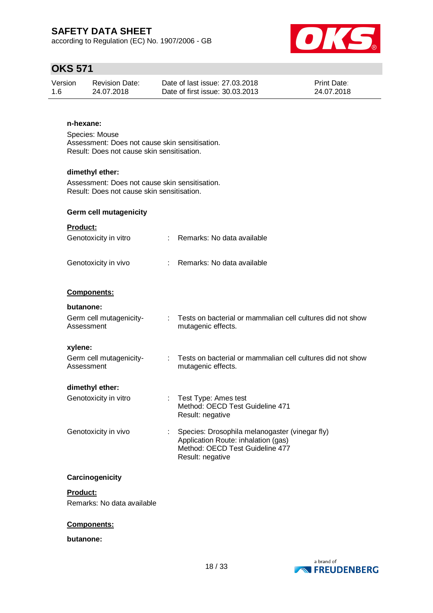according to Regulation (EC) No. 1907/2006 - GB



## **OKS 571**

| Version | Revision Date: | Date of last issue: 27,03,2018  | <b>Print Date:</b> |
|---------|----------------|---------------------------------|--------------------|
| 1.6     | 24.07.2018     | Date of first issue: 30.03.2013 | 24.07.2018         |

## **n-hexane:**

Species: Mouse Assessment: Does not cause skin sensitisation. Result: Does not cause skin sensitisation.

#### **dimethyl ether:**

Assessment: Does not cause skin sensitisation. Result: Does not cause skin sensitisation.

### **Germ cell mutagenicity**

### **Product:**

| Genotoxicity in vitro                 | Remarks: No data available                                                            |
|---------------------------------------|---------------------------------------------------------------------------------------|
| Genotoxicity in vivo                  | Remarks: No data available                                                            |
| Components:                           |                                                                                       |
| butanone:                             |                                                                                       |
| Germ cell mutagenicity-<br>Assessment | : Tests on bacterial or mammalian cell cultures did not show<br>mutagenic effects.    |
| xylene:                               |                                                                                       |
| Germ cell mutagenicity-<br>Assessment | Tests on bacterial or mammalian cell cultures did not show<br>mutagenic effects.      |
| dimethyl ether:                       |                                                                                       |
| Genotoxicity in vitro                 | : Test Type: Ames test<br>Method: OECD Test Guideline 471<br>Result: negative         |
| Genotoxicity in vivo                  | Species: Drosophila melanogaster (vinegar fly)<br>Application Route: inhalation (gas) |

Method: OECD Test Guideline 477

Result: negative

## **Carcinogenicity**

**Product:** Remarks: No data available

#### **Components:**

#### **butanone:**

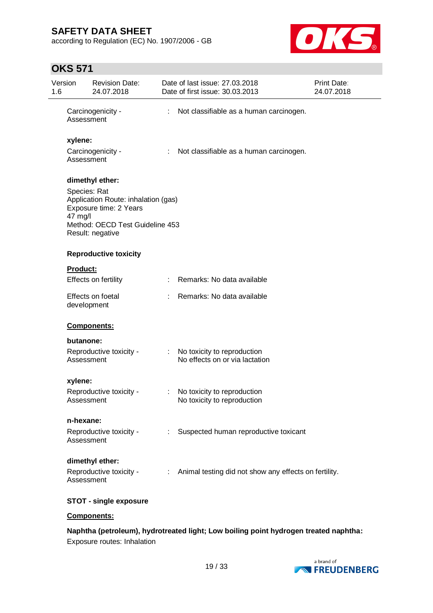according to Regulation (EC) No. 1907/2006 - GB



## **OKS 571**

| Version<br>1.6 |                         | <b>Revision Date:</b><br>24.07.2018                                                                                  |                           | Date of last issue: 27.03.2018<br>Date of first issue: 30.03.2013 | Print Date:<br>24.07.2018 |
|----------------|-------------------------|----------------------------------------------------------------------------------------------------------------------|---------------------------|-------------------------------------------------------------------|---------------------------|
|                | Assessment              | Carcinogenicity -                                                                                                    | $\mathbb{Z}^{\mathbb{Z}}$ | Not classifiable as a human carcinogen.                           |                           |
|                | xylene:                 |                                                                                                                      |                           |                                                                   |                           |
|                | Assessment              | Carcinogenicity -                                                                                                    | ÷.                        | Not classifiable as a human carcinogen.                           |                           |
|                |                         | dimethyl ether:                                                                                                      |                           |                                                                   |                           |
|                | Species: Rat<br>47 mg/l | Application Route: inhalation (gas)<br>Exposure time: 2 Years<br>Method: OECD Test Guideline 453<br>Result: negative |                           |                                                                   |                           |
|                |                         | <b>Reproductive toxicity</b>                                                                                         |                           |                                                                   |                           |
|                | <b>Product:</b>         |                                                                                                                      |                           |                                                                   |                           |
|                |                         | Effects on fertility                                                                                                 |                           | : Remarks: No data available                                      |                           |
|                | development             | Effects on foetal                                                                                                    |                           | Remarks: No data available                                        |                           |
|                |                         | Components:                                                                                                          |                           |                                                                   |                           |
|                | butanone:               |                                                                                                                      |                           |                                                                   |                           |
|                | Assessment              | Reproductive toxicity -                                                                                              | $\mathbb{Z}^{\times}$     | No toxicity to reproduction<br>No effects on or via lactation     |                           |
|                | xylene:                 |                                                                                                                      |                           |                                                                   |                           |
|                | Assessment              | Reproductive toxicity -                                                                                              | $\mathbb{Z}^{\times}$     | No toxicity to reproduction<br>No toxicity to reproduction        |                           |
|                | n-hexane:               |                                                                                                                      |                           |                                                                   |                           |
|                | Assessment              | Reproductive toxicity -                                                                                              |                           | Suspected human reproductive toxicant                             |                           |
|                |                         | dimethyl ether:                                                                                                      |                           |                                                                   |                           |
|                | Assessment              | Reproductive toxicity -                                                                                              |                           | : Animal testing did not show any effects on fertility.           |                           |
|                |                         | <b>STOT - single exposure</b>                                                                                        |                           |                                                                   |                           |

### **Components:**

## **Naphtha (petroleum), hydrotreated light; Low boiling point hydrogen treated naphtha:** Exposure routes: Inhalation

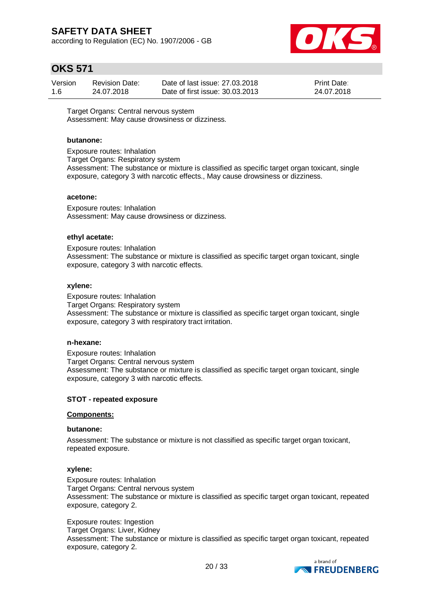according to Regulation (EC) No. 1907/2006 - GB



## **OKS 571**

| Version | <b>Revision Date:</b> | Date of last issue: 27,03,2018  | Print Date: |
|---------|-----------------------|---------------------------------|-------------|
| 1.6     | 24.07.2018            | Date of first issue: 30.03.2013 | 24.07.2018  |

Target Organs: Central nervous system Assessment: May cause drowsiness or dizziness.

#### **butanone:**

Exposure routes: Inhalation Target Organs: Respiratory system Assessment: The substance or mixture is classified as specific target organ toxicant, single exposure, category 3 with narcotic effects., May cause drowsiness or dizziness.

#### **acetone:**

Exposure routes: Inhalation Assessment: May cause drowsiness or dizziness.

#### **ethyl acetate:**

Exposure routes: Inhalation Assessment: The substance or mixture is classified as specific target organ toxicant, single exposure, category 3 with narcotic effects.

#### **xylene:**

Exposure routes: Inhalation Target Organs: Respiratory system Assessment: The substance or mixture is classified as specific target organ toxicant, single exposure, category 3 with respiratory tract irritation.

#### **n-hexane:**

Exposure routes: Inhalation Target Organs: Central nervous system Assessment: The substance or mixture is classified as specific target organ toxicant, single exposure, category 3 with narcotic effects.

### **STOT - repeated exposure**

#### **Components:**

#### **butanone:**

Assessment: The substance or mixture is not classified as specific target organ toxicant, repeated exposure.

### **xylene:**

Exposure routes: Inhalation Target Organs: Central nervous system Assessment: The substance or mixture is classified as specific target organ toxicant, repeated exposure, category 2.

Exposure routes: Ingestion Target Organs: Liver, Kidney Assessment: The substance or mixture is classified as specific target organ toxicant, repeated exposure, category 2.

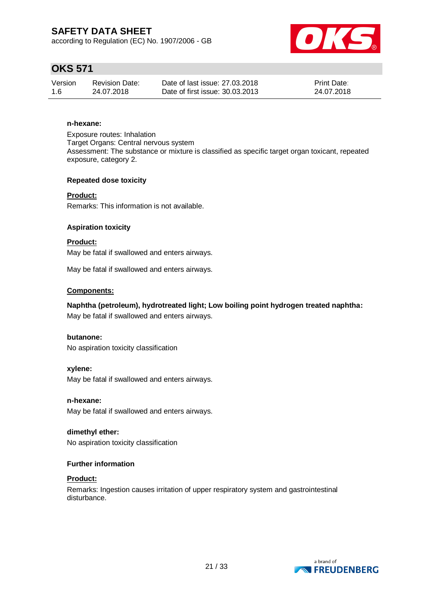according to Regulation (EC) No. 1907/2006 - GB



# **OKS 571**

| Version | <b>Revision Date:</b> | Date of last issue: 27,03,2018  | <b>Print Date:</b> |
|---------|-----------------------|---------------------------------|--------------------|
| 1.6     | 24.07.2018            | Date of first issue: 30.03.2013 | 24.07.2018         |

## **n-hexane:**

Exposure routes: Inhalation Target Organs: Central nervous system Assessment: The substance or mixture is classified as specific target organ toxicant, repeated exposure, category 2.

### **Repeated dose toxicity**

**Product:** Remarks: This information is not available.

### **Aspiration toxicity**

**Product:** May be fatal if swallowed and enters airways.

May be fatal if swallowed and enters airways.

### **Components:**

## **Naphtha (petroleum), hydrotreated light; Low boiling point hydrogen treated naphtha:**

May be fatal if swallowed and enters airways.

### **butanone:**

No aspiration toxicity classification

### **xylene:**

May be fatal if swallowed and enters airways.

### **n-hexane:**

May be fatal if swallowed and enters airways.

### **dimethyl ether:** No aspiration toxicity classification

### **Further information**

### **Product:**

Remarks: Ingestion causes irritation of upper respiratory system and gastrointestinal disturbance.

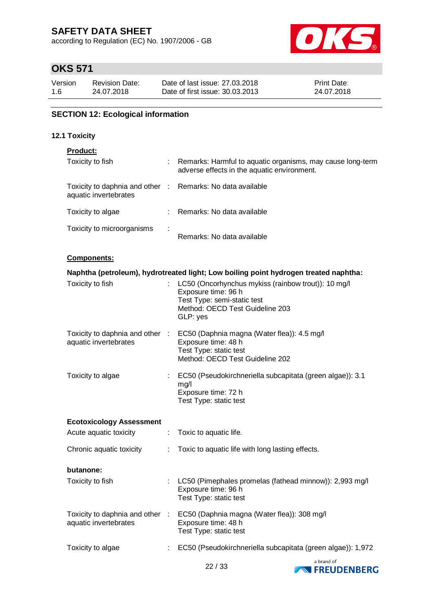according to Regulation (EC) No. 1907/2006 - GB



# **OKS 571**

| Version | <b>Revision Date:</b> | Date of last issue: 27,03,2018  | <b>Print Date:</b> |
|---------|-----------------------|---------------------------------|--------------------|
| 1.6     | 24.07.2018            | Date of first issue: 30.03.2013 | 24.07.2018         |

## **SECTION 12: Ecological information**

### **12.1 Toxicity**

## **Product:**

| Toxicity to fish                                         | ÷ | Remarks: Harmful to aquatic organisms, may cause long-term<br>adverse effects in the aquatic environment. |
|----------------------------------------------------------|---|-----------------------------------------------------------------------------------------------------------|
| Toxicity to daphnia and other :<br>aquatic invertebrates |   | Remarks: No data available                                                                                |
| Toxicity to algae                                        | ÷ | Remarks: No data available                                                                                |
| Toxicity to microorganisms                               | ÷ | Remarks: No data available                                                                                |

### **Components:**

|                                 |                       | Naphtha (petroleum), hydrotreated light; Low boiling point hydrogen treated naphtha:                                                                            |            |
|---------------------------------|-----------------------|-----------------------------------------------------------------------------------------------------------------------------------------------------------------|------------|
| Toxicity to fish                |                       | LC50 (Oncorhynchus mykiss (rainbow trout)): 10 mg/l<br>Exposure time: 96 h<br>Test Type: semi-static test<br>Method: OECD Test Guideline 203<br>GLP: yes        |            |
| aquatic invertebrates           |                       | Toxicity to daphnia and other : EC50 (Daphnia magna (Water flea)): 4.5 mg/l<br>Exposure time: 48 h<br>Test Type: static test<br>Method: OECD Test Guideline 202 |            |
| Toxicity to algae               | $\mathbb{Z}^{\times}$ | EC50 (Pseudokirchneriella subcapitata (green algae)): 3.1<br>mg/l<br>Exposure time: 72 h<br>Test Type: static test                                              |            |
| <b>Ecotoxicology Assessment</b> |                       |                                                                                                                                                                 |            |
| Acute aquatic toxicity          | ÷                     | Toxic to aquatic life.                                                                                                                                          |            |
| Chronic aquatic toxicity        |                       | Toxic to aquatic life with long lasting effects.                                                                                                                |            |
| butanone:                       |                       |                                                                                                                                                                 |            |
| Toxicity to fish                |                       | LC50 (Pimephales promelas (fathead minnow)): 2,993 mg/l<br>Exposure time: 96 h<br>Test Type: static test                                                        |            |
| aquatic invertebrates           |                       | Toxicity to daphnia and other : EC50 (Daphnia magna (Water flea)): 308 mg/l<br>Exposure time: 48 h<br>Test Type: static test                                    |            |
| Toxicity to algae               |                       | EC50 (Pseudokirchneriella subcapitata (green algae)): 1,972                                                                                                     |            |
|                                 |                       |                                                                                                                                                                 | a brand of |

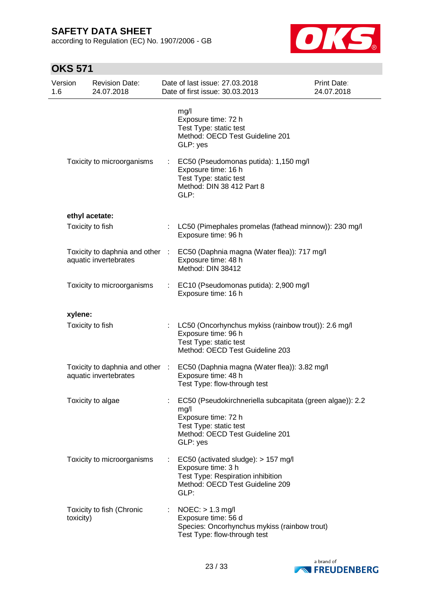according to Regulation (EC) No. 1907/2006 - GB



| Version<br>1.6 | <b>Revision Date:</b><br>24.07.2018                      |                               | Date of last issue: 27.03.2018<br>Date of first issue: 30.03.2013                                                                                                 | Print Date:<br>24.07.2018 |
|----------------|----------------------------------------------------------|-------------------------------|-------------------------------------------------------------------------------------------------------------------------------------------------------------------|---------------------------|
|                |                                                          |                               | mg/l<br>Exposure time: 72 h<br>Test Type: static test<br>Method: OECD Test Guideline 201<br>GLP: yes                                                              |                           |
|                | Toxicity to microorganisms                               | $\mathbb{Z}^{\mathbb{Z}^n}$ . | EC50 (Pseudomonas putida): 1,150 mg/l<br>Exposure time: 16 h<br>Test Type: static test<br>Method: DIN 38 412 Part 8<br>GLP:                                       |                           |
|                | ethyl acetate:                                           |                               |                                                                                                                                                                   |                           |
|                | Toxicity to fish                                         |                               | : LC50 (Pimephales promelas (fathead minnow)): 230 mg/l<br>Exposure time: 96 h                                                                                    |                           |
|                | Toxicity to daphnia and other :<br>aquatic invertebrates |                               | EC50 (Daphnia magna (Water flea)): 717 mg/l<br>Exposure time: 48 h<br>Method: DIN 38412                                                                           |                           |
|                | Toxicity to microorganisms                               |                               | : EC10 (Pseudomonas putida): 2,900 mg/l<br>Exposure time: 16 h                                                                                                    |                           |
| xylene:        |                                                          |                               |                                                                                                                                                                   |                           |
|                | Toxicity to fish                                         |                               | : LC50 (Oncorhynchus mykiss (rainbow trout)): 2.6 mg/l<br>Exposure time: 96 h<br>Test Type: static test<br>Method: OECD Test Guideline 203                        |                           |
|                | aquatic invertebrates                                    |                               | Toxicity to daphnia and other : EC50 (Daphnia magna (Water flea)): 3.82 mg/l<br>Exposure time: 48 h<br>Test Type: flow-through test                               |                           |
|                | Toxicity to algae                                        |                               | EC50 (Pseudokirchneriella subcapitata (green algae)): 2.2<br>mg/l<br>Exposure time: 72 h<br>Test Type: static test<br>Method: OECD Test Guideline 201<br>GLP: yes |                           |
|                | Toxicity to microorganisms                               | t.                            | EC50 (activated sludge): > 157 mg/l<br>Exposure time: 3 h<br>Test Type: Respiration inhibition<br>Method: OECD Test Guideline 209<br>GLP:                         |                           |
| toxicity)      | Toxicity to fish (Chronic                                |                               | $NOEC:$ > 1.3 mg/l<br>Exposure time: 56 d<br>Species: Oncorhynchus mykiss (rainbow trout)<br>Test Type: flow-through test                                         |                           |

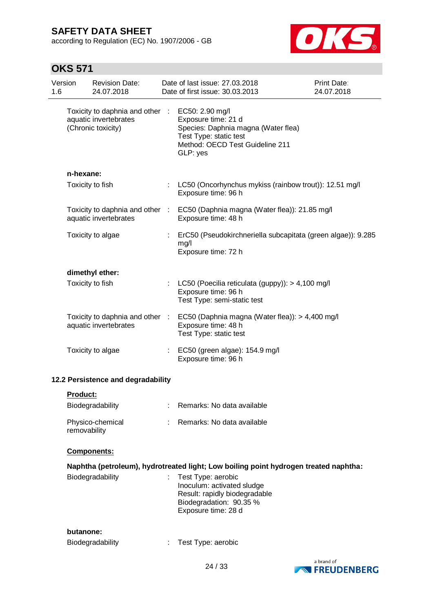according to Regulation (EC) No. 1907/2006 - GB



| 1.6 | Version         | <b>Revision Date:</b><br>24.07.2018                                            |    | Date of last issue: 27.03.2018<br>Date of first issue: 30.03.2013                                                                                      | <b>Print Date:</b><br>24.07.2018 |
|-----|-----------------|--------------------------------------------------------------------------------|----|--------------------------------------------------------------------------------------------------------------------------------------------------------|----------------------------------|
|     |                 | Toxicity to daphnia and other :<br>aquatic invertebrates<br>(Chronic toxicity) |    | EC50: 2.90 mg/l<br>Exposure time: 21 d<br>Species: Daphnia magna (Water flea)<br>Test Type: static test<br>Method: OECD Test Guideline 211<br>GLP: yes |                                  |
|     | n-hexane:       |                                                                                |    |                                                                                                                                                        |                                  |
|     |                 | Toxicity to fish                                                               |    | LC50 (Oncorhynchus mykiss (rainbow trout)): 12.51 mg/l<br>Exposure time: 96 h                                                                          |                                  |
|     |                 | Toxicity to daphnia and other :<br>aquatic invertebrates                       |    | EC50 (Daphnia magna (Water flea)): 21.85 mg/l<br>Exposure time: 48 h                                                                                   |                                  |
|     |                 | Toxicity to algae                                                              |    | ErC50 (Pseudokirchneriella subcapitata (green algae)): 9.285<br>mg/l<br>Exposure time: 72 h                                                            |                                  |
|     |                 | dimethyl ether:                                                                |    |                                                                                                                                                        |                                  |
|     |                 | Toxicity to fish                                                               |    | : LC50 (Poecilia reticulata (guppy)): > 4,100 mg/l<br>Exposure time: 96 h<br>Test Type: semi-static test                                               |                                  |
|     |                 | aquatic invertebrates                                                          |    | Toxicity to daphnia and other : EC50 (Daphnia magna (Water flea)): > 4,400 mg/l<br>Exposure time: 48 h<br>Test Type: static test                       |                                  |
|     |                 | Toxicity to algae                                                              |    | : EC50 (green algae): 154.9 mg/l<br>Exposure time: 96 h                                                                                                |                                  |
|     |                 | 12.2 Persistence and degradability                                             |    |                                                                                                                                                        |                                  |
|     | <b>Product:</b> |                                                                                |    |                                                                                                                                                        |                                  |
|     |                 | Biodegradability                                                               |    | Remarks: No data available                                                                                                                             |                                  |
|     | removability    | Physico-chemical                                                               |    | Remarks: No data available                                                                                                                             |                                  |
|     |                 | Components:                                                                    |    |                                                                                                                                                        |                                  |
|     |                 |                                                                                |    | Naphtha (petroleum), hydrotreated light; Low boiling point hydrogen treated naphtha:                                                                   |                                  |
|     |                 | Biodegradability                                                               | ÷. | Test Type: aerobic<br>Inoculum: activated sludge<br>Result: rapidly biodegradable<br>Biodegradation: 90.35 %<br>Exposure time: 28 d                    |                                  |
|     | butanone:       |                                                                                |    |                                                                                                                                                        |                                  |
|     |                 | Biodegradability                                                               |    | Test Type: aerobic                                                                                                                                     |                                  |

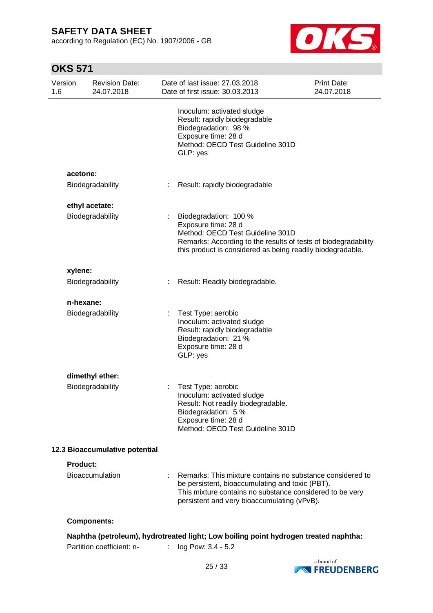according to Regulation (EC) No. 1907/2006 - GB



| Version<br>1.6                 | <b>Revision Date:</b><br>24.07.2018 |  | Date of last issue: 27.03.2018<br>Date of first issue: 30.03.2013                                                                                                                                                       | <b>Print Date:</b><br>24.07.2018 |
|--------------------------------|-------------------------------------|--|-------------------------------------------------------------------------------------------------------------------------------------------------------------------------------------------------------------------------|----------------------------------|
|                                |                                     |  | Inoculum: activated sludge<br>Result: rapidly biodegradable<br>Biodegradation: 98 %<br>Exposure time: 28 d<br>Method: OECD Test Guideline 301D<br>GLP: yes                                                              |                                  |
|                                | acetone:<br>Biodegradability        |  | Result: rapidly biodegradable                                                                                                                                                                                           |                                  |
|                                |                                     |  |                                                                                                                                                                                                                         |                                  |
|                                | ethyl acetate:<br>Biodegradability  |  | Biodegradation: 100 %<br>Exposure time: 28 d<br>Method: OECD Test Guideline 301D<br>Remarks: According to the results of tests of biodegradability<br>this product is considered as being readily biodegradable.        |                                  |
|                                | xylene:                             |  |                                                                                                                                                                                                                         |                                  |
|                                | Biodegradability                    |  | Result: Readily biodegradable.                                                                                                                                                                                          |                                  |
|                                | n-hexane:                           |  |                                                                                                                                                                                                                         |                                  |
|                                | Biodegradability                    |  | Test Type: aerobic<br>Inoculum: activated sludge<br>Result: rapidly biodegradable<br>Biodegradation: 21 %<br>Exposure time: 28 d<br>GLP: yes                                                                            |                                  |
|                                | dimethyl ether:                     |  |                                                                                                                                                                                                                         |                                  |
|                                | Biodegradability                    |  | Test Type: aerobic<br>Inoculum: activated sludge<br>Result: Not readily biodegradable.<br>Biodegradation: 5 %<br>Exposure time: 28 d<br>Method: OECD Test Guideline 301D                                                |                                  |
| 12.3 Bioaccumulative potential |                                     |  |                                                                                                                                                                                                                         |                                  |
|                                | Product:                            |  |                                                                                                                                                                                                                         |                                  |
|                                | <b>Bioaccumulation</b>              |  | Remarks: This mixture contains no substance considered to<br>be persistent, bioaccumulating and toxic (PBT).<br>This mixture contains no substance considered to be very<br>persistent and very bioaccumulating (vPvB). |                                  |
|                                | Components:                         |  |                                                                                                                                                                                                                         |                                  |
|                                |                                     |  | Naphtha (petroleum), hydrotreated light; Low boiling point hydrogen treated naphtha:                                                                                                                                    |                                  |
|                                | Partition coefficient: n-           |  | log Pow: 3.4 - 5.2                                                                                                                                                                                                      |                                  |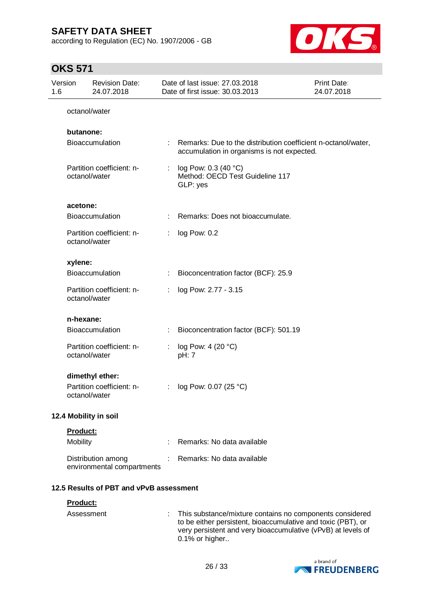according to Regulation (EC) No. 1907/2006 - GB



## **OKS 571**

| Version<br>1.6 |           | <b>Revision Date:</b><br>24.07.2018              |    | Date of last issue: 27.03.2018<br>Date of first issue: 30.03.2013                                           | Print Date:<br>24.07.2018 |
|----------------|-----------|--------------------------------------------------|----|-------------------------------------------------------------------------------------------------------------|---------------------------|
|                |           | octanol/water                                    |    |                                                                                                             |                           |
|                | butanone: |                                                  |    |                                                                                                             |                           |
|                |           | <b>Bioaccumulation</b>                           | ÷. | Remarks: Due to the distribution coefficient n-octanol/water,<br>accumulation in organisms is not expected. |                           |
|                |           | Partition coefficient: n-<br>octanol/water       | ÷  | log Pow: 0.3 (40 °C)<br>Method: OECD Test Guideline 117<br>GLP: yes                                         |                           |
|                | acetone:  |                                                  |    |                                                                                                             |                           |
|                |           | <b>Bioaccumulation</b>                           |    | Remarks: Does not bioaccumulate.                                                                            |                           |
|                |           | Partition coefficient: n-<br>octanol/water       |    | log Pow: 0.2                                                                                                |                           |
|                | xylene:   |                                                  |    |                                                                                                             |                           |
|                |           | <b>Bioaccumulation</b>                           | ÷  | Bioconcentration factor (BCF): 25.9                                                                         |                           |
|                |           | Partition coefficient: n-<br>octanol/water       |    | log Pow: 2.77 - 3.15                                                                                        |                           |
|                | n-hexane: |                                                  |    |                                                                                                             |                           |
|                |           | <b>Bioaccumulation</b>                           | ÷  | Bioconcentration factor (BCF): 501.19                                                                       |                           |
|                |           | Partition coefficient: n-<br>octanol/water       |    | log Pow: 4 (20 °C)<br>pH: 7                                                                                 |                           |
|                |           | dimethyl ether:                                  |    |                                                                                                             |                           |
|                |           | Partition coefficient: n-<br>octanol/water       | ÷  | log Pow: 0.07 (25 °C)                                                                                       |                           |
|                |           | 12.4 Mobility in soil                            |    |                                                                                                             |                           |
|                | Product:  |                                                  |    |                                                                                                             |                           |
|                | Mobility  |                                                  | ÷  | Remarks: No data available                                                                                  |                           |
|                |           | Distribution among<br>environmental compartments |    | Remarks: No data available                                                                                  |                           |
|                |           | 12.5 Results of PBT and vPvB assessment          |    |                                                                                                             |                           |
|                | Product:  |                                                  |    |                                                                                                             |                           |

Assessment : This substance/mixture contains no components considered to be either persistent, bioaccumulative and toxic (PBT), or very persistent and very bioaccumulative (vPvB) at levels of 0.1% or higher..

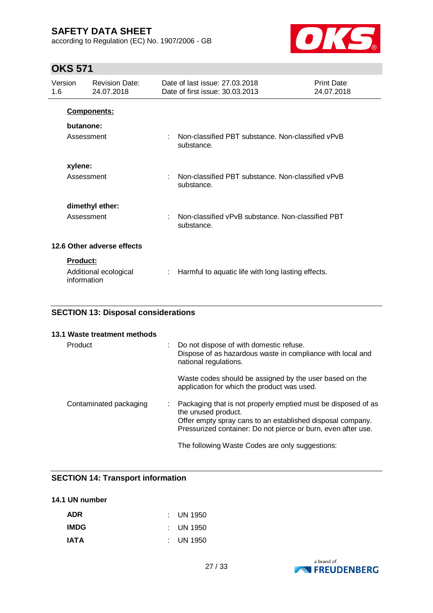according to Regulation (EC) No. 1907/2006 - GB



## **OKS 571**

| Version<br>1.6 |                 | <b>Revision Date:</b><br>24.07.2018 |   | Date of last issue: 27,03,2018<br>Date of first issue: 30.03.2013 | <b>Print Date:</b><br>24.07.2018 |
|----------------|-----------------|-------------------------------------|---|-------------------------------------------------------------------|----------------------------------|
|                |                 | <b>Components:</b>                  |   |                                                                   |                                  |
|                | butanone:       |                                     |   |                                                                   |                                  |
|                | Assessment      |                                     | ÷ | Non-classified PBT substance. Non-classified vPvB<br>substance.   |                                  |
|                | xylene:         |                                     |   |                                                                   |                                  |
|                | Assessment      |                                     | ÷ | Non-classified PBT substance. Non-classified vPvB<br>substance.   |                                  |
|                |                 | dimethyl ether:                     |   |                                                                   |                                  |
|                | Assessment      |                                     | ÷ | Non-classified vPvB substance. Non-classified PBT<br>substance.   |                                  |
|                |                 | 12.6 Other adverse effects          |   |                                                                   |                                  |
|                | <b>Product:</b> |                                     |   |                                                                   |                                  |
|                | information     | Additional ecological               |   | Harmful to aquatic life with long lasting effects.                |                                  |

## **SECTION 13: Disposal considerations**

| 13.1 Waste treatment methods |    |                                                                                                                                                                                                                     |
|------------------------------|----|---------------------------------------------------------------------------------------------------------------------------------------------------------------------------------------------------------------------|
| Product                      | t. | Do not dispose of with domestic refuse.<br>Dispose of as hazardous waste in compliance with local and<br>national regulations.                                                                                      |
|                              |    | Waste codes should be assigned by the user based on the<br>application for which the product was used.                                                                                                              |
| Contaminated packaging       |    | Packaging that is not properly emptied must be disposed of as<br>the unused product.<br>Offer empty spray cans to an established disposal company.<br>Pressurized container: Do not pierce or burn, even after use. |
|                              |    | The following Waste Codes are only suggestions:                                                                                                                                                                     |

## **SECTION 14: Transport information**

## **14.1 UN number**

| <b>ADR</b>  | $\therefore$ UN 1950 |
|-------------|----------------------|
| <b>IMDG</b> | $\therefore$ UN 1950 |
| <b>IATA</b> | $\therefore$ UN 1950 |

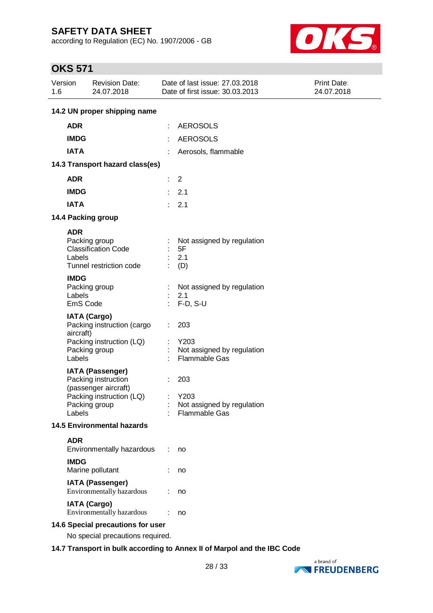according to Regulation (EC) No. 1907/2006 - GB



## **OKS 571**

| Version<br>1.6 | <b>Revision Date:</b><br>24.07.2018                                                                                           | Date of last issue: 27.03.2018<br>Date of first issue: 30.03.2013      | Print Date:<br>24.07.2018 |
|----------------|-------------------------------------------------------------------------------------------------------------------------------|------------------------------------------------------------------------|---------------------------|
|                | 14.2 UN proper shipping name                                                                                                  |                                                                        |                           |
| <b>ADR</b>     |                                                                                                                               | <b>AEROSOLS</b><br>÷                                                   |                           |
| <b>IMDG</b>    |                                                                                                                               | <b>AEROSOLS</b>                                                        |                           |
| <b>IATA</b>    |                                                                                                                               | Aerosols, flammable                                                    |                           |
|                | 14.3 Transport hazard class(es)                                                                                               |                                                                        |                           |
| <b>ADR</b>     |                                                                                                                               | $\overline{2}$<br>÷.                                                   |                           |
| <b>IMDG</b>    |                                                                                                                               | 2.1                                                                    |                           |
| <b>IATA</b>    |                                                                                                                               | 2.1<br>t.                                                              |                           |
|                | 14.4 Packing group                                                                                                            |                                                                        |                           |
| <b>ADR</b>     | Packing group<br><b>Classification Code</b><br>Labels<br>Tunnel restriction code                                              | Not assigned by regulation<br>5F<br>2.1<br>(D)                         |                           |
| <b>IMDG</b>    | Packing group<br>Labels<br>EmS Code                                                                                           | Not assigned by regulation<br>2.1<br>$F-D, S-U$                        |                           |
|                | <b>IATA (Cargo)</b><br>Packing instruction (cargo<br>aircraft)<br>Packing instruction (LQ)<br>Packing group<br>Labels         | 203<br>Y203<br>Not assigned by regulation<br>Flammable Gas             |                           |
|                | <b>IATA (Passenger)</b><br>Packing instruction<br>(passenger aircraft)<br>Packing instruction (LQ)<br>Packing group<br>Labels | 203<br>Y203<br>÷<br>Not assigned by regulation<br><b>Flammable Gas</b> |                           |
|                | <b>14.5 Environmental hazards</b>                                                                                             |                                                                        |                           |
| <b>ADR</b>     | Environmentally hazardous                                                                                                     | no                                                                     |                           |
| <b>IMDG</b>    | Marine pollutant                                                                                                              | no                                                                     |                           |
|                | <b>IATA (Passenger)</b><br>Environmentally hazardous                                                                          | no                                                                     |                           |
|                | <b>IATA (Cargo)</b><br>Environmentally hazardous                                                                              | no                                                                     |                           |
|                | 14.6 Special precautions for user<br>No special precautions required.                                                         |                                                                        |                           |

## **14.7 Transport in bulk according to Annex II of Marpol and the IBC Code**

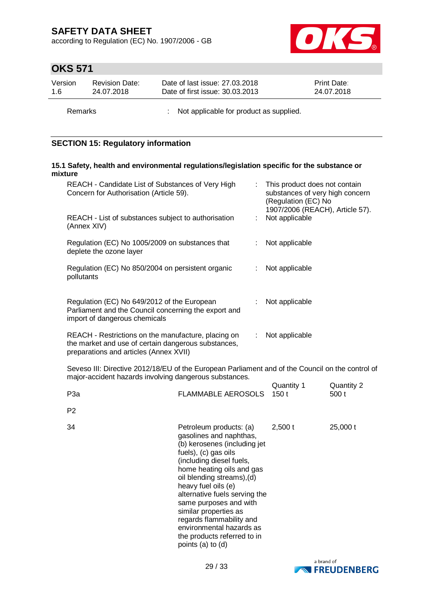according to Regulation (EC) No. 1907/2006 - GB



# **OKS 571**

| Version | <b>Revision Date:</b> | Date of last issue: 27,03,2018  | <b>Print Date:</b> |
|---------|-----------------------|---------------------------------|--------------------|
| 1.6     | 24.07.2018            | Date of first issue: 30.03.2013 | 24.07.2018         |
|         |                       |                                 |                    |

Remarks : Not applicable for product as supplied.

## **SECTION 15: Regulatory information**

### **15.1 Safety, health and environmental regulations/legislation specific for the substance or mixture**

| REACH - Candidate List of Substances of Very High<br>Concern for Authorisation (Article 59).                                         | This product does not contain<br>substances of very high concern<br>(Regulation (EC) No<br>1907/2006 (REACH), Article 57). |
|--------------------------------------------------------------------------------------------------------------------------------------|----------------------------------------------------------------------------------------------------------------------------|
| REACH - List of substances subject to authorisation<br>(Annex XIV)                                                                   | Not applicable                                                                                                             |
| Regulation (EC) No 1005/2009 on substances that<br>deplete the ozone layer                                                           | Not applicable                                                                                                             |
| Regulation (EC) No 850/2004 on persistent organic<br>pollutants                                                                      | Not applicable                                                                                                             |
| Regulation (EC) No 649/2012 of the European<br>Parliament and the Council concerning the export and<br>import of dangerous chemicals | Not applicable                                                                                                             |
| REACH - Restrictions on the manufacture, placing on<br>the market and use of certain dangerous substances,                           | Not applicable                                                                                                             |

preparations and articles (Annex XVII)

Seveso III: Directive 2012/18/EU of the European Parliament and of the Council on the control of major-accident hazards involving dangerous substances.

| P3a            | <b>FLAMMABLE AEROSOLS</b>                                                                                                                                                                                                                                                                                                                                                                                                | Quantity 1 | Quantity 2 |
|----------------|--------------------------------------------------------------------------------------------------------------------------------------------------------------------------------------------------------------------------------------------------------------------------------------------------------------------------------------------------------------------------------------------------------------------------|------------|------------|
| P <sub>2</sub> |                                                                                                                                                                                                                                                                                                                                                                                                                          | 150t       | 500 t      |
| 34             | Petroleum products: (a)<br>gasolines and naphthas,<br>(b) kerosenes (including jet<br>fuels), (c) gas oils<br>(including diesel fuels,<br>home heating oils and gas<br>oil blending streams), (d)<br>heavy fuel oils (e)<br>alternative fuels serving the<br>same purposes and with<br>similar properties as<br>regards flammability and<br>environmental hazards as<br>the products referred to in<br>points (a) to (d) | $2,500$ t  | 25,000 t   |

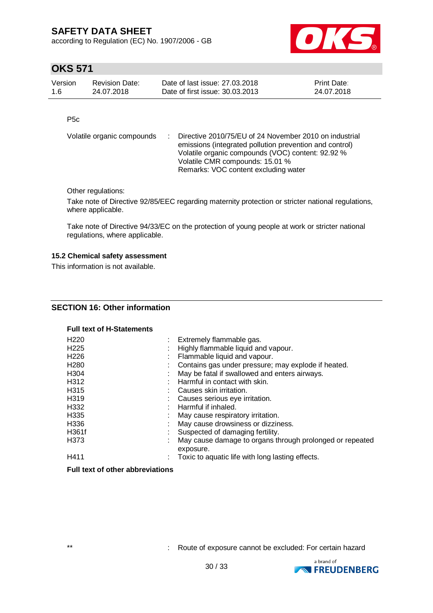according to Regulation (EC) No. 1907/2006 - GB



# **OKS 571**

| Version | <b>Revision Date:</b> | Date of last issue: 27,03,2018  | <b>Print Date:</b> |
|---------|-----------------------|---------------------------------|--------------------|
| 1.6     | 24.07.2018            | Date of first issue: 30.03.2013 | 24.07.2018         |

P5c

| Volatile organic compounds | : Directive 2010/75/EU of 24 November 2010 on industrial<br>emissions (integrated pollution prevention and control)<br>Volatile organic compounds (VOC) content: 92.92 %<br>Volatile CMR compounds: 15.01 % |
|----------------------------|-------------------------------------------------------------------------------------------------------------------------------------------------------------------------------------------------------------|
|                            | Remarks: VOC content excluding water                                                                                                                                                                        |

Other regulations:

Take note of Directive 92/85/EEC regarding maternity protection or stricter national regulations, where applicable.

Take note of Directive 94/33/EC on the protection of young people at work or stricter national regulations, where applicable.

### **15.2 Chemical safety assessment**

This information is not available.

## **SECTION 16: Other information**

#### **Full text of H-Statements**

| H <sub>220</sub>  | Extremely flammable gas.                                 |
|-------------------|----------------------------------------------------------|
| H <sub>225</sub>  | Highly flammable liquid and vapour.                      |
| H <sub>226</sub>  | Flammable liquid and vapour.                             |
| H <sub>280</sub>  | Contains gas under pressure; may explode if heated.      |
| H <sub>304</sub>  | May be fatal if swallowed and enters airways.            |
| H312              | : Harmful in contact with skin.                          |
| H <sub>315</sub>  | Causes skin irritation.                                  |
| H <sub>3</sub> 19 | Causes serious eye irritation.                           |
| H332              | Harmful if inhaled.                                      |
| H <sub>335</sub>  | May cause respiratory irritation.                        |
| H <sub>336</sub>  | May cause drowsiness or dizziness.                       |
| H361f             | Suspected of damaging fertility.                         |
| H373              | May cause damage to organs through prolonged or repeated |
|                   | exposure.                                                |
| H411              | : Toxic to aquatic life with long lasting effects.       |

### **Full text of other abbreviations**

\*\* : Route of exposure cannot be excluded: For certain hazard

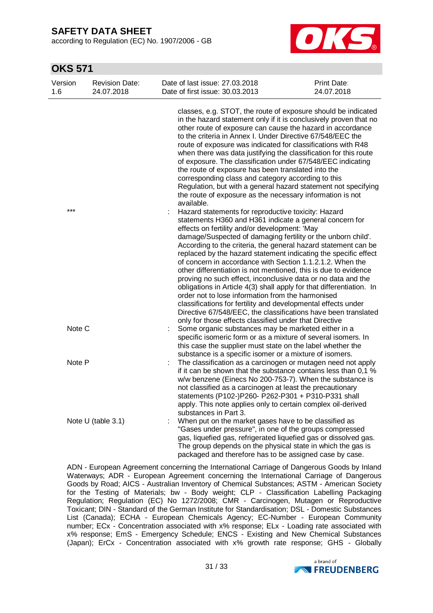according to Regulation (EC) No. 1907/2006 - GB



## **OKS 571**

| Version<br>1.6 | <b>Revision Date:</b><br>24.07.2018 | Date of last issue: 27.03.2018<br>Date of first issue: 30.03.2013                                                                                                                                                                                                                                                                                                                                                                                                                                                                                                                                                                                                                                                                                                                                                                                  | Print Date:<br>24.07.2018 |
|----------------|-------------------------------------|----------------------------------------------------------------------------------------------------------------------------------------------------------------------------------------------------------------------------------------------------------------------------------------------------------------------------------------------------------------------------------------------------------------------------------------------------------------------------------------------------------------------------------------------------------------------------------------------------------------------------------------------------------------------------------------------------------------------------------------------------------------------------------------------------------------------------------------------------|---------------------------|
|                |                                     | classes, e.g. STOT, the route of exposure should be indicated<br>in the hazard statement only if it is conclusively proven that no<br>other route of exposure can cause the hazard in accordance<br>to the criteria in Annex I. Under Directive 67/548/EEC the<br>route of exposure was indicated for classifications with R48<br>when there was data justifying the classification for this route<br>of exposure. The classification under 67/548/EEC indicating<br>the route of exposure has been translated into the<br>corresponding class and category according to this<br>Regulation, but with a general hazard statement not specifying<br>the route of exposure as the necessary information is not                                                                                                                                       |                           |
| ***            |                                     | available.<br>Hazard statements for reproductive toxicity: Hazard<br>statements H360 and H361 indicate a general concern for<br>effects on fertility and/or development: 'May<br>damage/Suspected of damaging fertility or the unborn child'.<br>According to the criteria, the general hazard statement can be<br>replaced by the hazard statement indicating the specific effect<br>of concern in accordance with Section 1.1.2.1.2. When the<br>other differentiation is not mentioned, this is due to evidence<br>proving no such effect, inconclusive data or no data and the<br>obligations in Article 4(3) shall apply for that differentiation. In<br>order not to lose information from the harmonised<br>classifications for fertility and developmental effects under<br>Directive 67/548/EEC, the classifications have been translated |                           |
| Note C         |                                     | only for those effects classified under that Directive<br>Some organic substances may be marketed either in a<br>specific isomeric form or as a mixture of several isomers. In<br>this case the supplier must state on the label whether the<br>substance is a specific isomer or a mixture of isomers.                                                                                                                                                                                                                                                                                                                                                                                                                                                                                                                                            |                           |
| Note P         |                                     | The classification as a carcinogen or mutagen need not apply<br>if it can be shown that the substance contains less than 0,1 %<br>w/w benzene (Einecs No 200-753-7). When the substance is<br>not classified as a carcinogen at least the precautionary<br>statements (P102-)P260- P262-P301 + P310-P331 shall<br>apply. This note applies only to certain complex oil-derived<br>substances in Part 3.                                                                                                                                                                                                                                                                                                                                                                                                                                            |                           |
|                | Note U (table 3.1)                  | When put on the market gases have to be classified as<br>"Gases under pressure", in one of the groups compressed<br>gas, liquefied gas, refrigerated liquefied gas or dissolved gas.<br>The group depends on the physical state in which the gas is<br>packaged and therefore has to be assigned case by case.                                                                                                                                                                                                                                                                                                                                                                                                                                                                                                                                     |                           |

ADN - European Agreement concerning the International Carriage of Dangerous Goods by Inland Waterways; ADR - European Agreement concerning the International Carriage of Dangerous Goods by Road; AICS - Australian Inventory of Chemical Substances; ASTM - American Society for the Testing of Materials; bw - Body weight; CLP - Classification Labelling Packaging Regulation; Regulation (EC) No 1272/2008; CMR - Carcinogen, Mutagen or Reproductive Toxicant; DIN - Standard of the German Institute for Standardisation; DSL - Domestic Substances List (Canada); ECHA - European Chemicals Agency; EC-Number - European Community number; ECx - Concentration associated with x% response; ELx - Loading rate associated with x% response; EmS - Emergency Schedule; ENCS - Existing and New Chemical Substances (Japan); ErCx - Concentration associated with x% growth rate response; GHS - Globally

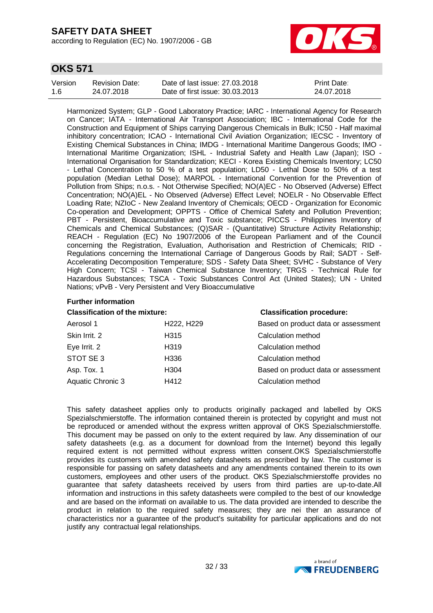according to Regulation (EC) No. 1907/2006 - GB



## **OKS 571**

| Version | Revision Date: | Date of last issue: 27,03,2018  | <b>Print Date:</b> |
|---------|----------------|---------------------------------|--------------------|
| 1.6     | 24.07.2018     | Date of first issue: 30.03.2013 | 24.07.2018         |

Harmonized System; GLP - Good Laboratory Practice; IARC - International Agency for Research on Cancer; IATA - International Air Transport Association; IBC - International Code for the Construction and Equipment of Ships carrying Dangerous Chemicals in Bulk; IC50 - Half maximal inhibitory concentration; ICAO - International Civil Aviation Organization; IECSC - Inventory of Existing Chemical Substances in China; IMDG - International Maritime Dangerous Goods; IMO - International Maritime Organization; ISHL - Industrial Safety and Health Law (Japan); ISO - International Organisation for Standardization; KECI - Korea Existing Chemicals Inventory; LC50 - Lethal Concentration to 50 % of a test population; LD50 - Lethal Dose to 50% of a test population (Median Lethal Dose); MARPOL - International Convention for the Prevention of Pollution from Ships; n.o.s. - Not Otherwise Specified; NO(A)EC - No Observed (Adverse) Effect Concentration; NO(A)EL - No Observed (Adverse) Effect Level; NOELR - No Observable Effect Loading Rate; NZIoC - New Zealand Inventory of Chemicals; OECD - Organization for Economic Co-operation and Development; OPPTS - Office of Chemical Safety and Pollution Prevention; PBT - Persistent, Bioaccumulative and Toxic substance; PICCS - Philippines Inventory of Chemicals and Chemical Substances; (Q)SAR - (Quantitative) Structure Activity Relationship; REACH - Regulation (EC) No 1907/2006 of the European Parliament and of the Council concerning the Registration, Evaluation, Authorisation and Restriction of Chemicals; RID - Regulations concerning the International Carriage of Dangerous Goods by Rail; SADT - Self-Accelerating Decomposition Temperature; SDS - Safety Data Sheet; SVHC - Substance of Very High Concern; TCSI - Taiwan Chemical Substance Inventory; TRGS - Technical Rule for Hazardous Substances; TSCA - Toxic Substances Control Act (United States); UN - United Nations; vPvB - Very Persistent and Very Bioaccumulative

#### **Further information**

| <b>Classification of the mixture:</b> |            | <b>Classification procedure:</b>    |
|---------------------------------------|------------|-------------------------------------|
| Aerosol 1                             | H222, H229 | Based on product data or assessment |
| Skin Irrit. 2                         | H315       | Calculation method                  |
| Eye Irrit. 2                          | H319       | Calculation method                  |
| STOT SE 3                             | H336       | Calculation method                  |
| Asp. Tox. 1                           | H304       | Based on product data or assessment |
| Aquatic Chronic 3                     | H412       | Calculation method                  |
|                                       |            |                                     |

This safety datasheet applies only to products originally packaged and labelled by OKS Spezialschmierstoffe. The information contained therein is protected by copyright and must not be reproduced or amended without the express written approval of OKS Spezialschmierstoffe. This document may be passed on only to the extent required by law. Any dissemination of our safety datasheets (e.g. as a document for download from the Internet) beyond this legally required extent is not permitted without express written consent.OKS Spezialschmierstoffe provides its customers with amended safety datasheets as prescribed by law. The customer is responsible for passing on safety datasheets and any amendments contained therein to its own customers, employees and other users of the product. OKS Spezialschmierstoffe provides no guarantee that safety datasheets received by users from third parties are up-to-date.All information and instructions in this safety datasheets were compiled to the best of our knowledge and are based on the informati on available to us. The data provided are intended to describe the product in relation to the required safety measures; they are nei ther an assurance of characteristics nor a guarantee of the product's suitability for particular applications and do not justify any contractual legal relationships.